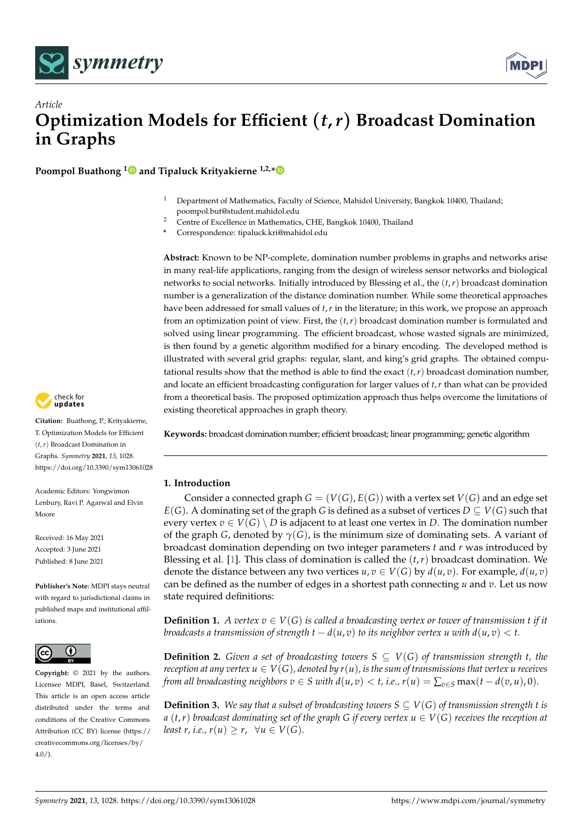



# *Article* **Optimization Models for Efficient** (*t***,***r*) **Broadcast Domination in Graphs**

**Poompol Buathong [1](https://orcid.org/0000-0002-7261-3135) and Tipaluck Krityakierne 1,2,[\\*](https://orcid.org/0000-0001-8300-2631)**

- <sup>1</sup> Department of Mathematics, Faculty of Science, Mahidol University, Bangkok 10400, Thailand; poompol.but@student.mahidol.edu
- <sup>2</sup> Centre of Excellence in Mathematics, CHE, Bangkok 10400, Thailand
- **\*** Correspondence: tipaluck.kri@mahidol.edu

**Abstract:** Known to be NP-complete, domination number problems in graphs and networks arise in many real-life applications, ranging from the design of wireless sensor networks and biological networks to social networks. Initially introduced by Blessing et al., the (*t*,*r*) broadcast domination number is a generalization of the distance domination number. While some theoretical approaches have been addressed for small values of *t*,*r* in the literature; in this work, we propose an approach from an optimization point of view. First, the (*t*,*r*) broadcast domination number is formulated and solved using linear programming. The efficient broadcast, whose wasted signals are minimized, is then found by a genetic algorithm modified for a binary encoding. The developed method is illustrated with several grid graphs: regular, slant, and king's grid graphs. The obtained computational results show that the method is able to find the exact  $(t, r)$  broadcast domination number, and locate an efficient broadcasting configuration for larger values of *t*,*r* than what can be provided from a theoretical basis. The proposed optimization approach thus helps overcome the limitations of existing theoretical approaches in graph theory.

**Keywords:** broadcast domination number; efficient broadcast; linear programming; genetic algorithm

# **1. Introduction**

Consider a connected graph  $G = (V(G), E(G))$  with a vertex set  $V(G)$  and an edge set  $E(G)$ . A dominating set of the graph *G* is defined as a subset of vertices  $D \subseteq V(G)$  such that every vertex  $v \in V(G) \setminus D$  is adjacent to at least one vertex in D. The domination number of the graph *G*, denoted by *γ*(*G*), is the minimum size of dominating sets. A variant of broadcast domination depending on two integer parameters *t* and *r* was introduced by Blessing et al. [\[1\]](#page-16-0). This class of domination is called the  $(t, r)$  broadcast domination. We denote the distance between any two vertices  $u, v \in V(G)$  by  $d(u, v)$ . For example,  $d(u, v)$ can be defined as the number of edges in a shortest path connecting *u* and *v*. Let us now state required definitions:

**Definition 1.** *A vertex*  $v \in V(G)$  *is called a broadcasting vertex or tower of transmission t if it broadcasts a transmission of strength t*  $-d(u, v)$  *to its neighbor vertex u with*  $d(u, v) < t$ *.* 

**Definition 2.** *Given a set of broadcasting towers*  $S \subseteq V(G)$  *of transmission strength t, the reception at any vertex*  $u \in V(G)$ *, denoted by*  $r(u)$ *, is the sum of transmissions that vertex u receives from all broadcasting neighbors*  $v \in S$  *with*  $d(u, v) < t$ *, i.e.,*  $r(u) = \sum_{v \in S} \max(t - d(v, u), 0)$ *.* 

<span id="page-0-0"></span>**Definition 3.** We say that a subset of broadcasting towers  $S \subseteq V(G)$  of transmission strength t is *a*  $(t, r)$  *broadcast dominating set of the graph G if every vertex*  $u \in V(G)$  *receives the reception at least r, i.e., r(u)*  $\geq r$ ,  $\forall u \in V(G)$ .



**Citation:** Buathong, P.; Krityakierne, T. Optimization Models for Efficient (*t*,*r*) Broadcast Domination in Graphs. *Symmetry* **2021**, *13*, 1028. <https://doi.org/10.3390/sym13061028>

Academic Editors: Yongwimon Lenbury, Ravi P. Agarwal and Elvin Moore

Received: 16 May 2021 Accepted: 3 June 2021 Published: 8 June 2021

**Publisher's Note:** MDPI stays neutral with regard to jurisdictional claims in published maps and institutional affiliations.



**Copyright:** © 2021 by the authors. Licensee MDPI, Basel, Switzerland. This article is an open access article distributed under the terms and conditions of the Creative Commons Attribution (CC BY) license (https:/[/](https://creativecommons.org/licenses/by/4.0/) [creativecommons.org/licenses/by/](https://creativecommons.org/licenses/by/4.0/) 4.0/).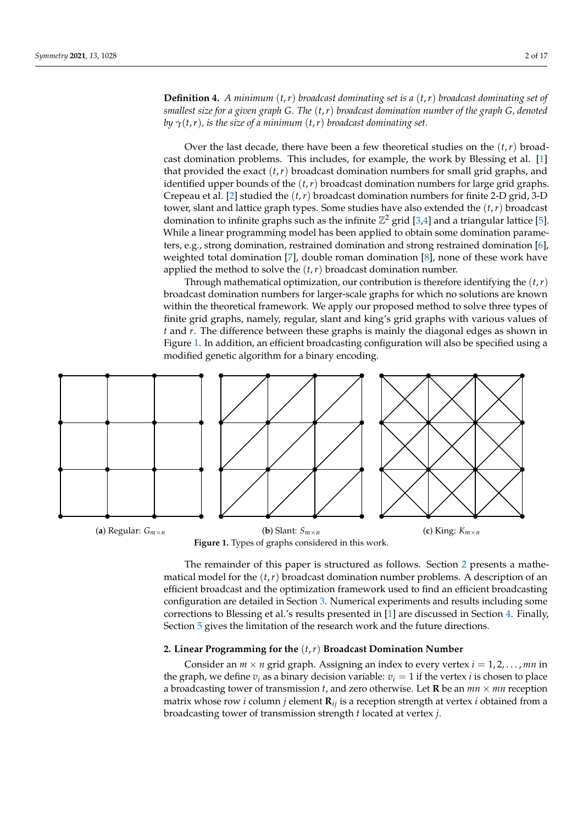<span id="page-1-2"></span>**Definition 4.** *A minimum* (*t*,*r*) *broadcast dominating set is a* (*t*,*r*) *broadcast dominating set of smallest size for a given graph G. The* (*t*,*r*) *broadcast domination number of the graph G, denoted by*  $\gamma(t,r)$ *, is the size of a minimum*  $(t,r)$  *broadcast dominating set.* 

Over the last decade, there have been a few theoretical studies on the  $(t, r)$  broadcast domination problems. This includes, for example, the work by Blessing et al. [\[1\]](#page-16-0) that provided the exact  $(t, r)$  broadcast domination numbers for small grid graphs, and identified upper bounds of the (*t*,*r*) broadcast domination numbers for large grid graphs. Crepeau et al. [\[2\]](#page-16-1) studied the (*t*,*r*) broadcast domination numbers for finite 2-D grid, 3-D tower, slant and lattice graph types. Some studies have also extended the (*t*,*r*) broadcast domination to infinite graphs such as the infinite  $\mathbb{Z}^2$  grid [\[3](#page-16-2)[,4\]](#page-16-3) and a triangular lattice [\[5\]](#page-16-4). While a linear programming model has been applied to obtain some domination parameters, e.g., strong domination, restrained domination and strong restrained domination [\[6\]](#page-16-5), weighted total domination [\[7\]](#page-16-6), double roman domination [\[8\]](#page-16-7), none of these work have applied the method to solve the (*t*,*r*) broadcast domination number.

Through mathematical optimization, our contribution is therefore identifying the  $(t, r)$ broadcast domination numbers for larger-scale graphs for which no solutions are known within the theoretical framework. We apply our proposed method to solve three types of finite grid graphs, namely, regular, slant and king's grid graphs with various values of *t* and *r*. The difference between these graphs is mainly the diagonal edges as shown in Figure [1.](#page-1-0) In addition, an efficient broadcasting configuration will also be specified using a modified genetic algorithm for a binary encoding.

<span id="page-1-0"></span>

**Figure 1.** Types of graphs considered in this work.

The remainder of this paper is structured as follows. Section [2](#page-1-1) presents a mathematical model for the  $(t, r)$  broadcast domination number problems. A description of an efficient broadcast and the optimization framework used to find an efficient broadcasting configuration are detailed in Section [3.](#page-2-0) Numerical experiments and results including some corrections to Blessing et al.'s results presented in [\[1\]](#page-16-0) are discussed in Section [4.](#page-3-0) Finally, Section [5](#page-9-0) gives the limitation of the research work and the future directions.

## <span id="page-1-1"></span>**2. Linear Programming for the** (*t*,*r*) **Broadcast Domination Number**

Consider an  $m \times n$  grid graph. Assigning an index to every vertex  $i = 1, 2, \ldots, mn$  in the graph, we define  $v_i$  as a binary decision variable:  $v_i = 1$  if the vertex *i* is chosen to place a broadcasting tower of transmission  $t$ , and zero otherwise. Let **R** be an  $mn \times mn$  reception matrix whose row *i* column *j* element  $\mathbf{R}_{ij}$  is a reception strength at vertex *i* obtained from a broadcasting tower of transmission strength *t* located at vertex *j*.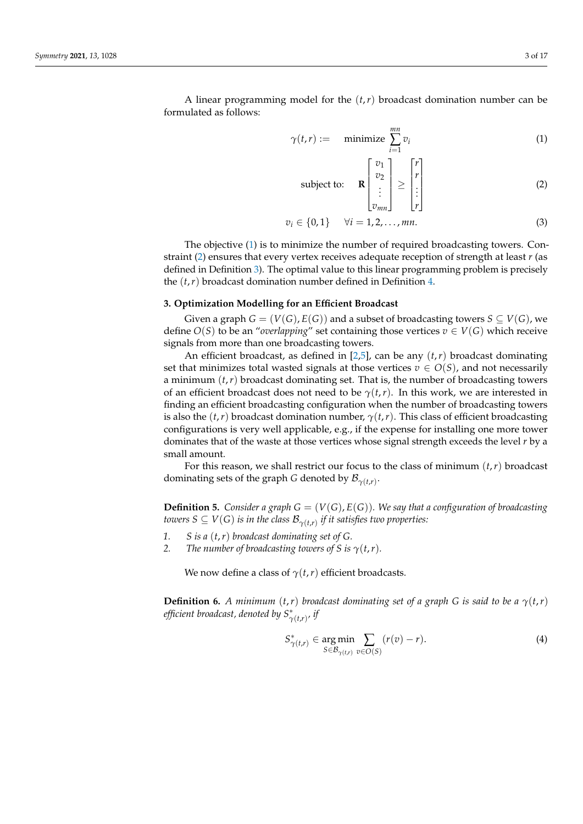A linear programming model for the (*t*,*r*) broadcast domination number can be formulated as follows:

$$
\gamma(t,r) := \text{minimize } \sum_{i=1}^{mn} v_i \tag{1}
$$

<span id="page-2-5"></span><span id="page-2-2"></span><span id="page-2-1"></span>subject to: 
$$
\mathbf{R}\begin{bmatrix}v_1\\v_2\\ \vdots\\v_{mn}\end{bmatrix} \ge \begin{bmatrix}r\\r\\ \vdots\\r\end{bmatrix}
$$
 (2)

$$
v_i \in \{0, 1\} \quad \forall i = 1, 2, ..., mn.
$$
 (3)

The objective [\(1\)](#page-2-1) is to minimize the number of required broadcasting towers. Constraint [\(2\)](#page-2-2) ensures that every vertex receives adequate reception of strength at least *r* (as defined in Definition [3\)](#page-0-0). The optimal value to this linear programming problem is precisely the (*t*,*r*) broadcast domination number defined in Definition [4.](#page-1-2)

## <span id="page-2-0"></span>**3. Optimization Modelling for an Efficient Broadcast**

Given a graph  $G = (V(G), E(G))$  and a subset of broadcasting towers  $S \subseteq V(G)$ , we define  $O(S)$  to be an "*overlapping*" set containing those vertices  $v \in V(G)$  which receive signals from more than one broadcasting towers.

An efficient broadcast, as defined in [\[2](#page-16-1)[,5\]](#page-16-4), can be any (*t*,*r*) broadcast dominating set that minimizes total wasted signals at those vertices  $v \in O(S)$ , and not necessarily a minimum  $(t, r)$  broadcast dominating set. That is, the number of broadcasting towers of an efficient broadcast does not need to be  $\gamma(t,r)$ . In this work, we are interested in finding an efficient broadcasting configuration when the number of broadcasting towers is also the  $(t, r)$  broadcast domination number,  $\gamma(t, r)$ . This class of efficient broadcasting configurations is very well applicable, e.g., if the expense for installing one more tower dominates that of the waste at those vertices whose signal strength exceeds the level *r* by a small amount.

For this reason, we shall restrict our focus to the class of minimum (*t*,*r*) broadcast dominating sets of the graph *G* denoted by  $\mathcal{B}_{\gamma(t,r)}$ .

<span id="page-2-4"></span>**Definition 5.** *Consider a graph*  $G = (V(G), E(G))$ *. We say that a configuration of broadcasting towers S*  $\subseteq$   $V(G)$  *is in the class*  $\mathcal{B}_{\gamma(t,r)}$  *if it satisfies two properties:* 

- *1. S is a* (*t*,*r*) *broadcast dominating set of G.*
- *2. The number of broadcasting towers of S is*  $\gamma(t,r)$ *.*

We now define a class of  $\gamma(t, r)$  efficient broadcasts.

<span id="page-2-6"></span>**Definition 6.** *A minimum*  $(t, r)$  *broadcast dominating set of a graph G is said to be a*  $\gamma(t, r)$ *efficient broadcast, denoted by*  $S_{\gamma(t,r)}^*$ *, if* 

<span id="page-2-3"></span>
$$
S_{\gamma(t,r)}^* \in \underset{S \in \mathcal{B}_{\gamma(t,r)}}{\text{arg min}} \sum_{v \in O(S)} (r(v) - r). \tag{4}
$$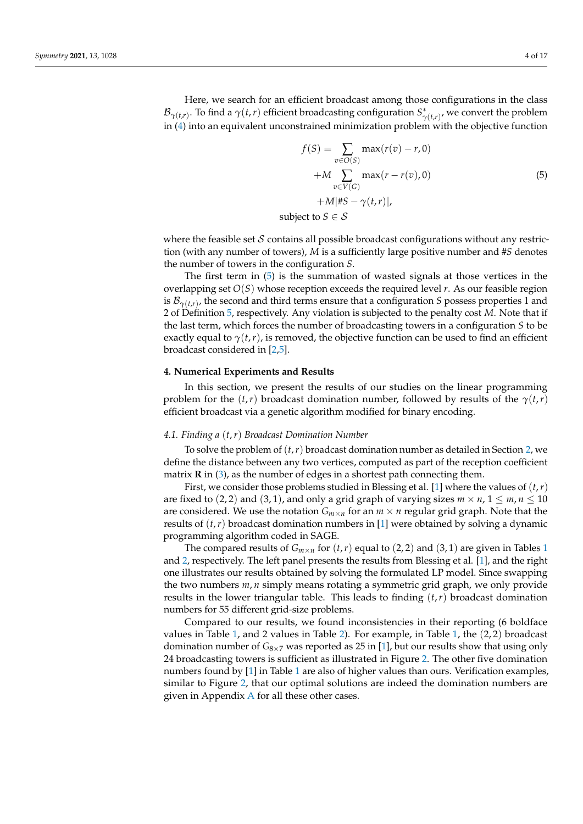<span id="page-3-1"></span>
$$
f(S) = \sum_{v \in O(S)} \max(r(v) - r, 0)
$$
  
+
$$
+ M \sum_{v \in V(G)} \max(r - r(v), 0)
$$
  
+
$$
M | #S - \gamma(t, r)|,
$$
  
subject to  $S \in S$ 

where the feasible set  $S$  contains all possible broadcast configurations without any restriction (with any number of towers), *M* is a sufficiently large positive number and #*S* denotes the number of towers in the configuration *S*.

The first term in [\(5\)](#page-3-1) is the summation of wasted signals at those vertices in the overlapping set *O*(*S*) whose reception exceeds the required level *r*. As our feasible region is  $\mathcal{B}_{\gamma(t,r)}$ , the second and third terms ensure that a configuration *S* possess properties 1 and 2 of Definition [5,](#page-2-4) respectively. Any violation is subjected to the penalty cost *M*. Note that if the last term, which forces the number of broadcasting towers in a configuration *S* to be exactly equal to  $\gamma(t,r)$ , is removed, the objective function can be used to find an efficient broadcast considered in [\[2,](#page-16-1)[5\]](#page-16-4).

#### <span id="page-3-0"></span>**4. Numerical Experiments and Results**

In this section, we present the results of our studies on the linear programming problem for the  $(t, r)$  broadcast domination number, followed by results of the  $\gamma(t, r)$ efficient broadcast via a genetic algorithm modified for binary encoding.

## <span id="page-3-2"></span>*4.1. Finding a* (*t*,*r*) *Broadcast Domination Number*

To solve the problem of (*t*,*r*) broadcast domination number as detailed in Section [2,](#page-1-1) we define the distance between any two vertices, computed as part of the reception coefficient matrix  $\bf{R}$  in [\(3\)](#page-2-5), as the number of edges in a shortest path connecting them.

First, we consider those problems studied in Blessing et al. [\[1\]](#page-16-0) where the values of (*t*,*r*) are fixed to (2, 2) and (3, 1), and only a grid graph of varying sizes  $m \times n$ ,  $1 \leq m, n \leq 10$ are considered. We use the notation  $G_{m \times n}$  for an  $m \times n$  regular grid graph. Note that the results of (*t*,*r*) broadcast domination numbers in [\[1\]](#page-16-0) were obtained by solving a dynamic programming algorithm coded in SAGE.

The compared results of  $G_{m \times n}$  for  $(t, r)$  equal to (2, 2) and (3, [1](#page-4-0)) are given in Tables 1 and [2,](#page-4-1) respectively. The left panel presents the results from Blessing et al. [\[1\]](#page-16-0), and the right one illustrates our results obtained by solving the formulated LP model. Since swapping the two numbers *m*, *n* simply means rotating a symmetric grid graph, we only provide results in the lower triangular table. This leads to finding  $(t, r)$  broadcast domination numbers for 55 different grid-size problems.

Compared to our results, we found inconsistencies in their reporting (6 boldface values in Table [1,](#page-4-0) and 2 values in Table [2\)](#page-4-1). For example, in Table 1, the  $(2, 2)$  broadcast domination number of  $G_{8\times 7}$  was reported as 25 in [\[1\]](#page-16-0), but our results show that using only 24 broadcasting towers is sufficient as illustrated in Figure [2.](#page-4-2) The other five domination numbers found by [\[1\]](#page-16-0) in Table [1](#page-4-0) are also of higher values than ours. Verification examples, similar to Figure [2,](#page-4-2) that our optimal solutions are indeed the domination numbers are given in Appendix [A](#page-10-0) for all these other cases.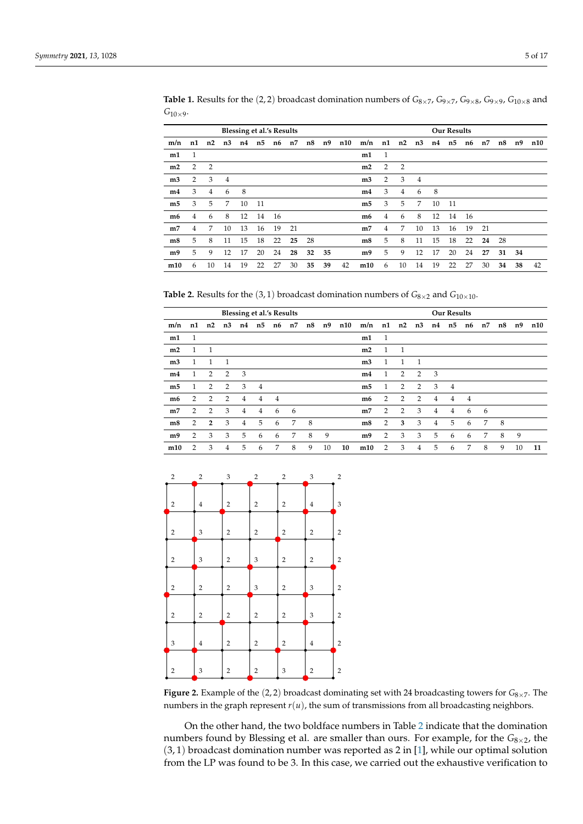|                |                |                |                | <b>Blessing et al.'s Results</b> |    |    |    |    |    |     |                |                |                |                |    | <b>Our Results</b> |    |    |    |    |     |
|----------------|----------------|----------------|----------------|----------------------------------|----|----|----|----|----|-----|----------------|----------------|----------------|----------------|----|--------------------|----|----|----|----|-----|
| m/n            | n1             | n2             | n <sub>3</sub> | n4 n5                            |    | n6 | n7 | n8 | n9 | n10 | m/n            | n1 n2          |                | n3             | n4 | n5                 | n6 | n7 | n8 | n9 | n10 |
| m1             | 1              |                |                |                                  |    |    |    |    |    |     | m1             | 1              |                |                |    |                    |    |    |    |    |     |
| m2             | $\overline{2}$ | $\overline{2}$ |                |                                  |    |    |    |    |    |     | m2             | 2              | $\overline{2}$ |                |    |                    |    |    |    |    |     |
| m <sub>3</sub> | 2              | 3              | $\overline{4}$ |                                  |    |    |    |    |    |     | m <sub>3</sub> | 2              | 3              | $\overline{4}$ |    |                    |    |    |    |    |     |
| m4             | 3              | $\overline{4}$ | 6              | 8                                |    |    |    |    |    |     | m4             | 3              | $\overline{4}$ | 6              | 8  |                    |    |    |    |    |     |
| m <sub>5</sub> | 3              | 5              | 7              | 10                               | 11 |    |    |    |    |     | m <sub>5</sub> | 3              | 5              | 7              | 10 | -11                |    |    |    |    |     |
| m6             | $\overline{4}$ | 6              | 8              | 12                               | 14 | 16 |    |    |    |     | m6             | $\overline{4}$ | 6              | 8              | 12 | 14                 | 16 |    |    |    |     |
| m <sub>7</sub> | 4              | 7              | 10             | 13                               | 16 | 19 | 21 |    |    |     | m <sub>7</sub> | 4              | 7              | 10             | 13 | 16                 | 19 | 21 |    |    |     |
| m <sub>8</sub> | 5              | 8              | 11             | 15                               | 18 | 22 | 25 | 28 |    |     | m <sub>8</sub> | 5              | 8              | 11             | 15 | 18                 | 22 | 24 | 28 |    |     |
| m9             | 5              | 9              | 12             | 17                               | 20 | 24 | 28 | 32 | 35 |     | m9             | 5              | 9              | 12             | 17 | 20                 | 24 | 27 | 31 | 34 |     |
| m10            | 6              | 10             | 14             | 19                               | 22 | 27 | 30 | 35 | 39 | 42  | m10            | 6              | 10             | 14             | 19 | 22                 | 27 | 30 | 34 | 38 | 42  |

<span id="page-4-0"></span>**Table 1.** Results for the (2, 2) broadcast domination numbers of *G*8×7, *G*9×7, *G*9×8, *G*9×9, *G*10×<sup>8</sup> and  $G_{10\times9}$ .

<span id="page-4-1"></span>**Table 2.** Results for the (3, 1) broadcast domination numbers of  $G_{8\times2}$  and  $G_{10\times10}$ .

|                |                |                |                |                | Blessing et al.'s Results |    |    |    |    |     |                |    |                |                |                | <b>Our Results</b> |                |    |     |    |     |
|----------------|----------------|----------------|----------------|----------------|---------------------------|----|----|----|----|-----|----------------|----|----------------|----------------|----------------|--------------------|----------------|----|-----|----|-----|
| m/n            | n1             | n2             | n3             | n4             | n5                        | n6 | n7 | n8 | n9 | n10 | m/n            |    | $n1$ $n2$      | n3             | n4             | n5                 | n6             | n7 | n8  | n9 | n10 |
| m1             | 1              |                |                |                |                           |    |    |    |    |     | m1             | -1 |                |                |                |                    |                |    |     |    |     |
| m2             | $\mathbf{1}$   | - 1            |                |                |                           |    |    |    |    |     | m2             | 1  | - 1            |                |                |                    |                |    |     |    |     |
| m <sub>3</sub> | 1.             | 1              | $\mathbf{1}$   |                |                           |    |    |    |    |     | m <sub>3</sub> | 1  | $\mathbf{1}$   | $\overline{1}$ |                |                    |                |    |     |    |     |
| m4             | 1              | 2              | $\overline{2}$ | 3              |                           |    |    |    |    |     | m <sub>4</sub> | 1  | 2              | 2              | 3              |                    |                |    |     |    |     |
| m <sub>5</sub> | 1              | 2              | $\overline{2}$ | 3              | $\overline{4}$            |    |    |    |    |     | m <sub>5</sub> | 1  | 2              | 2              | 3              | $\overline{4}$     |                |    |     |    |     |
| m6             | 2              | 2              | $\overline{2}$ | $\overline{4}$ | 4                         | 4  |    |    |    |     | m6             | 2  | $\overline{2}$ | 2              | $\overline{4}$ | $\overline{4}$     | $\overline{4}$ |    |     |    |     |
| m <sub>7</sub> | $\overline{2}$ | 2              | 3              | 4              | $\overline{4}$            | 6  | 6  |    |    |     | m <sub>7</sub> | 2  | 2              | 3              | $\overline{4}$ | $\overline{4}$     | 6              | 6  |     |    |     |
| m8             | $\overline{2}$ | $\overline{2}$ | 3              | $\overline{4}$ | 5                         | 6  | 7  | 8  |    |     | m8             | 2  | 3              | 3              | $\overline{4}$ | 5                  | 6              | 7  | - 8 |    |     |
| m9             | $\overline{2}$ | 3              | 3              | 5              | 6                         | 6  | 7  | 8  | 9  |     | m9             | 2  | 3              | 3              | 5              | 6                  | 6              | 7  | 8   | 9  |     |
| m10            | $\overline{2}$ | 3              | 4              | 5              | 6                         | 7  | 8  | 9  | 10 | 10  | m10            | 2  | 3              | $\overline{4}$ | 5              | 6                  | 7              | 8  | 9   | 10 | 11  |

<span id="page-4-2"></span>

| $\sqrt{2}$              | $\overline{2}$            | 3                | $\sqrt{2}$                | $\overline{2}$ | $\ensuremath{\mathsf{3}}$ | $\overline{\mathbf{c}}$ |
|-------------------------|---------------------------|------------------|---------------------------|----------------|---------------------------|-------------------------|
| $\overline{\mathbf{c}}$ | $\bf{4}$                  | $\overline{2}$   | $\overline{c}$            | $\overline{c}$ | $\bf{4}$                  | 3                       |
| $\overline{\mathbf{c}}$ | 3                         | $\overline{c}$   | $\overline{\mathbf{c}}$   | $\sqrt{2}$     | $\overline{\mathbf{c}}$   | $\overline{\mathbf{c}}$ |
| $\overline{\mathbf{c}}$ | $\ensuremath{\mathsf{3}}$ | $\boldsymbol{2}$ | 3                         | $\overline{c}$ | $\overline{\mathbf{c}}$   | $\mathbf 2$             |
| $\overline{\mathbf{c}}$ | $\overline{2}$            | $\boldsymbol{2}$ | $\ensuremath{\mathsf{3}}$ | $\overline{c}$ | 3                         | $\overline{\mathbf{c}}$ |
| $\overline{\mathbf{c}}$ | $\overline{2}$            | $\overline{2}$   | $\overline{\mathbf{c}}$   | $\overline{2}$ | 3                         | $\overline{\mathbf{c}}$ |
| 3                       | $\overline{4}$            | $\overline{2}$   | $\overline{c}$            | $\mathbf 2$    | $\bf{4}$                  | $\mathbf 2$             |
| $\overline{\mathbf{c}}$ | 3                         | $\overline{c}$   | $\overline{2}$            | 3              | $\overline{2}$            | $\overline{\mathbf{c}}$ |
|                         |                           |                  |                           |                |                           |                         |

**Figure 2.** Example of the (2, 2) broadcast dominating set with 24 broadcasting towers for  $G_{8\times7}$ . The numbers in the graph represent *r*(*u*), the sum of transmissions from all broadcasting neighbors.

On the other hand, the two boldface numbers in Table [2](#page-4-1) indicate that the domination numbers found by Blessing et al. are smaller than ours. For example, for the *G*<sub>8×2</sub>, the  $(3, 1)$  broadcast domination number was reported as 2 in [\[1\]](#page-16-0), while our optimal solution from the LP was found to be 3. In this case, we carried out the exhaustive verification to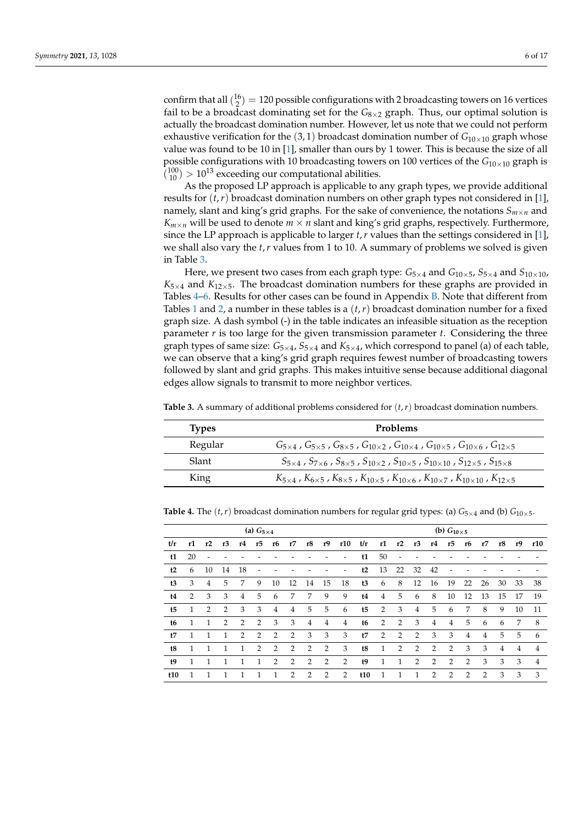confirm that all  $\binom{16}{2} = 120$  possible configurations with 2 broadcasting towers on 16 vertices fail to be a broadcast dominating set for the  $G_{8\times2}$  graph. Thus, our optimal solution is actually the broadcast domination number. However, let us note that we could not perform exhaustive verification for the  $(3, 1)$  broadcast domination number of  $G_{10\times10}$  graph whose value was found to be 10 in [\[1\]](#page-16-0), smaller than ours by 1 tower. This is because the size of all possible configurations with 10 broadcasting towers on 100 vertices of the  $G_{10\times10}$  graph is  $\binom{100}{10}$  > 10<sup>13</sup> exceeding our computational abilities.

As the proposed LP approach is applicable to any graph types, we provide additional results for  $(t, r)$  broadcast domination numbers on other graph types not considered in [\[1\]](#page-16-0), namely, slant and king's grid graphs. For the sake of convenience, the notations  $S_{m \times n}$  and  $K_{m \times n}$  will be used to denote  $m \times n$  slant and king's grid graphs, respectively. Furthermore, since the LP approach is applicable to larger *t*,*r* values than the settings considered in [\[1\]](#page-16-0), we shall also vary the *t*,*r* values from 1 to 10. A summary of problems we solved is given in Table [3.](#page-5-0)

Here, we present two cases from each graph type:  $G_{5\times 4}$  and  $G_{10\times 5}$ ,  $S_{5\times 4}$  and  $S_{10\times 10}$ ,  $K_{5\times 4}$  and  $K_{12\times 5}$ . The broadcast domination numbers for these graphs are provided in Tables  $4-6$ . Results for other cases can be found in Appendix [B.](#page-12-0) Note that different from Tables [1](#page-4-0) and [2,](#page-4-1) a number in these tables is a (*t*,*r*) broadcast domination number for a fixed graph size. A dash symbol (-) in the table indicates an infeasible situation as the reception parameter  $r$  is too large for the given transmission parameter  $t$ . Considering the three graph types of same size:  $G_{5\times 4}$ ,  $G_{5\times 4}$ , and  $K_{5\times 4}$ , which correspond to panel (a) of each table, we can observe that a king's grid graph requires fewest number of broadcasting towers followed by slant and grid graphs. This makes intuitive sense because additional diagonal edges allow signals to transmit to more neighbor vertices.

| <b>Types</b> | <b>Problems</b>                                                                                                                             |
|--------------|---------------------------------------------------------------------------------------------------------------------------------------------|
| Regular      | $G_{5\times4}$ , $G_{5\times5}$ , $G_{8\times5}$ , $G_{10\times2}$ , $G_{10\times4}$ , $G_{10\times5}$ , $G_{10\times6}$ , $G_{12\times5}$  |
| Slant        | $S_{5\times4}$ , $S_{7\times6}$ , $S_{8\times5}$ , $S_{10\times2}$ , $S_{10\times5}$ , $S_{10\times10}$ , $S_{12\times5}$ , $S_{15\times8}$ |
| King         | $K_{5\times4}$ , $K_{6\times5}$ , $K_{8\times5}$ , $K_{10\times5}$ , $K_{10\times6}$ , $K_{10\times7}$ , $K_{10\times10}$ , $K_{12\times5}$ |

<span id="page-5-0"></span>**Table 3.** A summary of additional problems considered for (*t*,*r*) broadcast domination numbers.

<span id="page-5-1"></span>**Table 4.** The  $(t, r)$  broadcast domination numbers for regular grid types: (a)  $G_{5\times4}$  and (b)  $G_{10\times5}$ .

|                |    |              |                |                | (a) $G_{5\times 4}$ |                |                |                |                |                |     |    |    |                |                | (b) $G_{10\times 5}$ |                |               |                |    |     |
|----------------|----|--------------|----------------|----------------|---------------------|----------------|----------------|----------------|----------------|----------------|-----|----|----|----------------|----------------|----------------------|----------------|---------------|----------------|----|-----|
| t/r            | r1 | r2           | r <sub>3</sub> | r4             | r5                  | r6             | r7             | r8             | r9             | r10            | t/r | r1 | r2 | r3             | r4             | r5                   | r6             | r7            | r8             | r9 | r10 |
| t1             | 20 |              |                |                |                     |                |                |                |                |                | t1  | 50 |    |                |                |                      |                |               |                |    |     |
| t2             | 6  | 10           | 14             | 18             |                     |                |                |                |                |                | t2  | 13 | 22 | 32             | 42             |                      |                |               |                |    |     |
| t3             | 3  | 4            | 5              | 7              | 9                   | 10             | 12             | 14             | 15             | 18             | t3  | 6  | 8  | 12             | 16             | 19                   | 22             | 26            | 30             | 33 | 38  |
| t4             | 2  | 3            | 3              | 4              | 5                   | 6              | 7              | 7              | 9              | 9              | t4  | 4  | 5  | 6              | 8              | 10                   | 12             | 13            | 15             | 17 | 19  |
| t <sub>5</sub> | 1  | 2            | 2              | 3              | 3                   | $\overline{4}$ | 4              | 5              | 5              | 6              | t5  | 2  | 3  | $\overline{4}$ | 5              | 6                    | 7              | 8             | 9              | 10 | 11  |
| t6             | 1  | $\mathbf{1}$ | 2              | $\overline{2}$ | 2                   | 3              | 3              | $\overline{4}$ | $\overline{4}$ | 4              | t6  | 2  | 2  | 3              | $\overline{4}$ | 4                    | 5              | 6             | 6              | 7  | 8   |
| t7             | 1  | 1            | 1              | 2              | 2                   | 2              | 2              | 3              | 3              | 3              | t7  | 2  | 2  | 2              | 3              | 3                    | $\overline{4}$ | 4             | 5              | 5  | 6   |
| t8             | 1  |              |                |                | $\overline{2}$      | $\overline{2}$ | $\overline{2}$ | $\overline{2}$ | $\overline{2}$ | 3              | t8  | 1  | 2  | $\overline{2}$ | $\overline{2}$ | $\overline{2}$       | 3              | 3             | $\overline{4}$ | 4  | 4   |
| t9             |    |              |                |                |                     | $\overline{2}$ | $\overline{2}$ | $\overline{2}$ | $\overline{2}$ | $\overline{2}$ | t9  |    |    | $\overline{2}$ | $\overline{2}$ | 2                    | $\overline{2}$ | 3             | 3              | 3  | 4   |
| t10            |    |              |                |                |                     |                | $\mathcal{P}$  | $\overline{2}$ | $\overline{2}$ | $\overline{2}$ | t10 |    |    |                | $\mathcal{P}$  | $\mathcal{P}$        | $\mathcal{P}$  | $\mathcal{P}$ | 3              | 3  | 3   |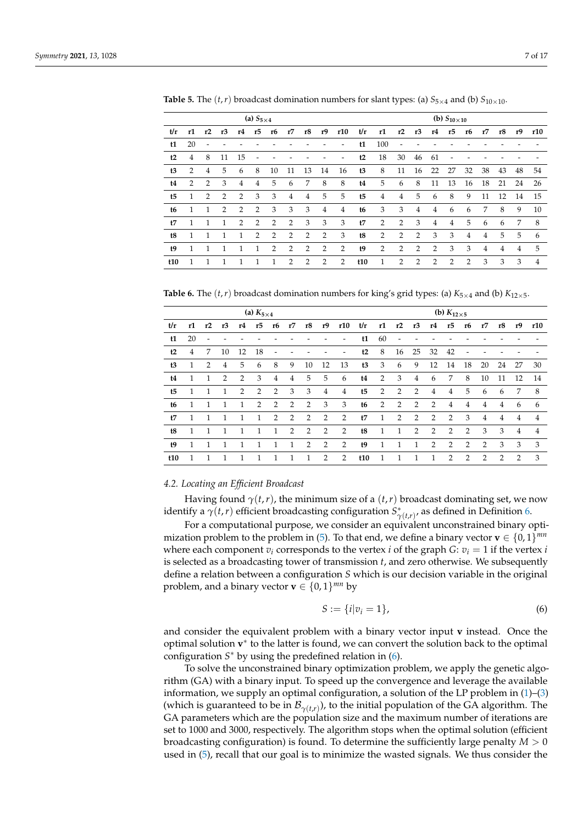|                |              |    |                |                | (a) $S_{5\times 4}$ |                |                |                |                |                |                |                |                |                |                | (b) $S_{10\times 10}$ |                |                |                |    |     |
|----------------|--------------|----|----------------|----------------|---------------------|----------------|----------------|----------------|----------------|----------------|----------------|----------------|----------------|----------------|----------------|-----------------------|----------------|----------------|----------------|----|-----|
| t/r            | r1           | r2 | r <sub>3</sub> | r4             | r5                  | r6             | r7             | r8             | r9             | r10            | t/r            | r1             | r2             | r3             | r4             | r5                    | r6             | r7             | r8             | r9 | r10 |
| t1             | 20           |    |                |                |                     |                |                |                |                |                | t1             | 100            |                |                |                |                       |                |                |                |    |     |
| t2             | 4            | 8  | 11             | 15             |                     |                |                |                |                | -              | t2             | 18             | 30             | 46             | 61             |                       |                |                |                |    |     |
| t3             | 2            | 4  | 5              | 6              | 8                   | 10             | 11             | 13             | 14             | 16             | t3             | 8              | 11             | 16             | 22             | 27                    | 32             | 38             | 43             | 48 | 54  |
| t4             | 2            | 2  | 3              | $\overline{4}$ | $\overline{4}$      | 5              | 6              | 7              | 8              | 8              | t4             | 5              | 6              | 8              | 11             | 13                    | 16             | 18             | 21             | 24 | 26  |
| t <sub>5</sub> | -1           | 2  | 2              | $\overline{2}$ | 3                   | 3              | $\overline{4}$ | $\overline{4}$ | 5              | 5              | t <sub>5</sub> | $\overline{4}$ | $\overline{4}$ | 5              | 6              | 8                     | 9              | 11             | 12             | 14 | 15  |
| t6             | $\mathbf{1}$ | 1  | 2              | 2              | 2                   | 3              | 3              | 3              | $\overline{4}$ | $\overline{4}$ | t6             | 3              | 3              | 4              | $\overline{4}$ | 6                     | 6              | 7              | 8              | 9  | 10  |
| t7             | $\mathbf{1}$ | 1  | 1              | $\overline{2}$ | 2                   | 2              | 2              | 3              | 3              | 3              | t7             | 2              | 2              | 3              | $\overline{4}$ | $\overline{4}$        | 5              | 6              | 6              | 7  | 8   |
| t8             | 1            | 1  |                | 1              | 2                   | $\overline{2}$ | 2              | 2              | 2              | 3              | t8             | 2              | 2              | 2              | 3              | 3                     | $\overline{4}$ | $\overline{4}$ | 5              | 5  | 6   |
| $19$           |              |    |                | 1              | 1                   | $\mathcal{P}$  | 2              | 2              | 2              | $\overline{2}$ | t9             | 2              | 2              | $\overline{2}$ | $\overline{2}$ | 3                     | 3              | 4              | $\overline{4}$ | 4  | 5   |
| t10            |              |    |                |                |                     |                | 2              | $\mathcal{P}$  | $\overline{2}$ | $\overline{2}$ | t10            | 1              | 2              | 2              | $\overline{2}$ | 2                     | 2              | 3              | 3              | 3  | 4   |

**Table 5.** The  $(t, r)$  broadcast domination numbers for slant types: (a)  $S_{5 \times 4}$  and (b)  $S_{10 \times 10}$ .

<span id="page-6-0"></span>**Table 6.** The  $(t, r)$  broadcast domination numbers for king's grid types: (a)  $K_{5\times 4}$  and (b)  $K_{12\times 5}$ .

|                |              |    |                |    | (a) $K_{5\times4}$ |                              |    |                |                |                   |     |              |    |                |                | (b) $K_{12\times 5}$ |                |                |    |                |     |
|----------------|--------------|----|----------------|----|--------------------|------------------------------|----|----------------|----------------|-------------------|-----|--------------|----|----------------|----------------|----------------------|----------------|----------------|----|----------------|-----|
| t/r            | r1           | r2 | r <sub>3</sub> | r4 | r5                 | r6                           | r7 | r8             | r9             | r10               | t/r | r1           | r2 | r3             | r4             | r5                   | r6             | r7             | r8 | r9             | r10 |
| t1             | 20           |    |                |    |                    |                              |    |                |                | $\qquad \qquad -$ | t1  | 60           |    |                |                |                      |                |                |    |                |     |
| t2             | 4            | 7  | 10             | 12 | 18                 | $\qquad \qquad \blacksquare$ |    |                |                | -                 | t2  | 8            | 16 | 25             | 32             | 42                   | ÷              |                |    |                |     |
| t3             | $\mathbf{1}$ | 2  | $\overline{4}$ | 5  | 6                  | 8                            | 9  | 10             | 12             | 13                | t3  | 3            | 6  | 9              | 12             | 14                   | 18             | 20             | 24 | 27             | 30  |
| t4             | 1            | 1  | 2              | 2  | 3                  | 4                            | 4  | 5              | 5              | 6                 | t4  | 2            | 3  | $\overline{4}$ | 6              | 7                    | 8              | 10             | 11 | 12             | 14  |
| t <sub>5</sub> | 1            | 1  | 1              | 2  | 2                  | 2                            | 3  | 3              | 4              | $\overline{4}$    | t5  | 2            | 2  | 2              | $\overline{4}$ | $\overline{4}$       | 5              | 6              | 6  | 7              | 8   |
| t6             | 1            | 1  | 1              | 1  | 2                  | 2                            | 2  | $\overline{2}$ | 3              | 3                 | t6  | 2            | 2  | 2              | $\overline{2}$ | $\overline{4}$       | 4              | 4              | 4  | 6              | 6   |
| t7             | 1            | 1  | 1              | 1  | 1                  | 2                            | 2  | 2              | 2              | 2                 | t7  | 1            | 2  | 2              | $\overline{2}$ | $\overline{2}$       | 3              | $\overline{4}$ | 4  | $\overline{4}$ | 4   |
| t8             | 1            | 1  | 1              | 1  | 1                  | 1                            | 2  | $\overline{2}$ | $\overline{2}$ | 2                 | t8  | $\mathbf{1}$ | 1  | 2              | $\overline{2}$ | 2                    | $\overline{2}$ | 3              | 3  | $\overline{4}$ | 4   |
| E <sub>9</sub> | 1            | 1  | 1              | 1  | 1                  | 1                            | 1  | 2              | $\overline{2}$ | 2                 | t9  | $\mathbf{1}$ | 1  | 1              | $\mathcal{P}$  | $\overline{2}$       | 2              | $\mathcal{P}$  | 3  | 3              | 3   |
| t10            | 1            | 1  | 1              | 1  |                    | 1                            | 1  | 1              | 2              | 2                 | t10 | 1            | 1  | 1              | 1              | $\overline{2}$       | 2              | $\mathcal{P}$  | 2  | $\mathcal{P}$  | 3   |

#### <span id="page-6-2"></span>*4.2. Locating an Efficient Broadcast*

Having found  $\gamma(t, r)$ , the minimum size of a  $(t, r)$  broadcast dominating set, we now identify a  $\gamma(t,r)$  efficient broadcasting configuration  $S^*_{\gamma(t,r)}$ , as defined in Definition [6.](#page-2-6)

For a computational purpose, we consider an equivalent unconstrained binary opti-mization problem to the problem in [\(5\)](#page-3-1). To that end, we define a binary vector **v**  $\in$   $\{0,1\}^{mn}$ where each component  $v_i$  corresponds to the vertex *i* of the graph *G*:  $v_i = 1$  if the vertex *i* is selected as a broadcasting tower of transmission *t*, and zero otherwise. We subsequently define a relation between a configuration *S* which is our decision variable in the original problem, and a binary vector **v**  $\in \{0, 1\}^{mn}$  by

<span id="page-6-1"></span>
$$
S := \{i|v_i = 1\},\tag{6}
$$

and consider the equivalent problem with a binary vector input **v** instead. Once the optimal solution **v**<sup>\*</sup> to the latter is found, we can convert the solution back to the optimal configuration *S* <sup>∗</sup> by using the predefined relation in [\(6\)](#page-6-1).

To solve the unconstrained binary optimization problem, we apply the genetic algorithm (GA) with a binary input. To speed up the convergence and leverage the available information, we supply an optimal configuration, a solution of the LP problem in [\(1\)](#page-2-1)–[\(3\)](#page-2-5) (which is guaranteed to be in  $\mathcal{B}_{\gamma(t,r)}$ ), to the initial population of the GA algorithm. The GA parameters which are the population size and the maximum number of iterations are set to 1000 and 3000, respectively. The algorithm stops when the optimal solution (efficient broadcasting configuration) is found. To determine the sufficiently large penalty *M* > 0 used in [\(5\)](#page-3-1), recall that our goal is to minimize the wasted signals. We thus consider the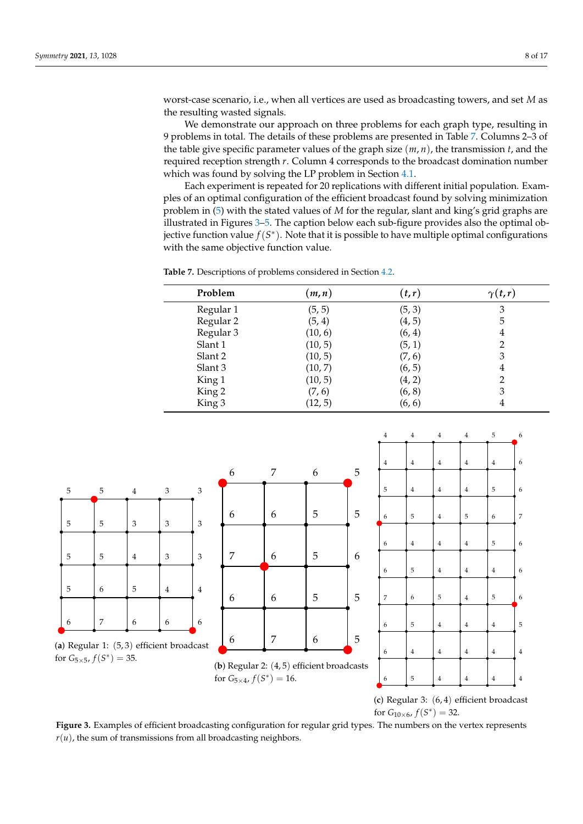worst-case scenario, i.e., when all vertices are used as broadcasting towers, and set *M* as the resulting wasted signals.

We demonstrate our approach on three problems for each graph type, resulting in 9 problems in total. The details of these problems are presented in Table [7.](#page-7-0) Columns 2–3 of the table give specific parameter values of the graph size (*m*, *n*), the transmission *t*, and the required reception strength *r*. Column 4 corresponds to the broadcast domination number which was found by solving the LP problem in Section [4.1.](#page-3-2)

Each experiment is repeated for 20 replications with different initial population. Examples of an optimal configuration of the efficient broadcast found by solving minimization problem in [\(5\)](#page-3-1) with the stated values of *M* for the regular, slant and king's grid graphs are illustrated in Figures [3](#page-7-1)[–5.](#page-9-1) The caption below each sub-figure provides also the optimal objective function value *f*(*S* ∗ ). Note that it is possible to have multiple optimal configurations with the same objective function value.

<span id="page-7-0"></span>**Table 7.** Descriptions of problems considered in Section [4.2.](#page-6-2)

| Problem   | (m, n)  | (t,r)  | $\gamma(t,r)$ |
|-----------|---------|--------|---------------|
| Regular 1 | (5, 5)  | (5, 3) | 3             |
| Regular 2 | (5, 4)  | (4, 5) | 5             |
| Regular 3 | (10, 6) | (6, 4) | 4             |
| Slant 1   | (10, 5) | (5, 1) | 2             |
| Slant 2   | (10, 5) | (7, 6) | 3             |
| Slant 3   | (10, 7) | (6, 5) | 4             |
| King 1    | (10, 5) | (4, 2) | 2             |
| King 2    | (7, 6)  | (6, 8) | 3             |
| King 3    | (12, 5) | (6, 6) |               |
|           |         |        |               |

<span id="page-7-1"></span>

(**c**) Regular 3: (6, 4) efficient broadcast for  $G_{10\times 6}$ ,  $f(S^*)=32$ .

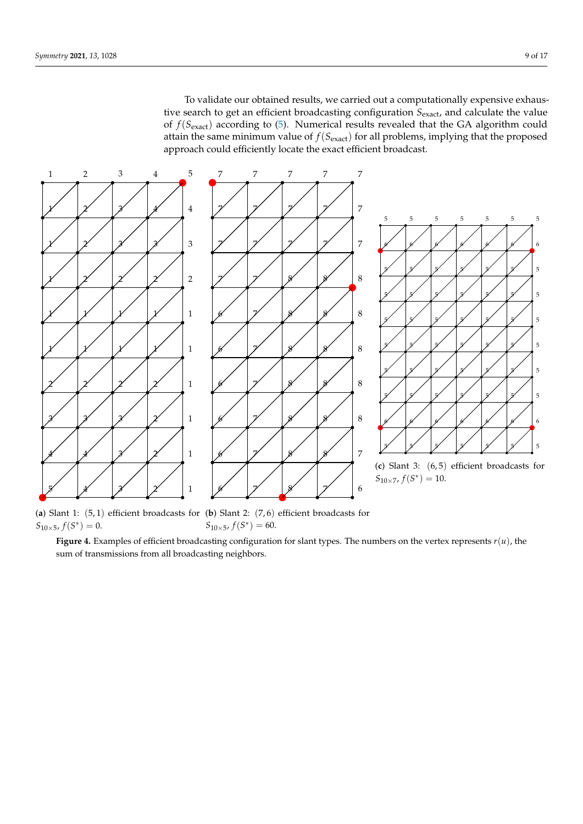To validate our obtained results, we carried out a computationally expensive exhaustive search to get an efficient broadcasting configuration  $S_{\text{exact}}$ , and calculate the value of *f*(*S*exact) according to [\(5\)](#page-3-1). Numerical results revealed that the GA algorithm could attain the same minimum value of  $f(S_{\text{exact}})$  for all problems, implying that the proposed approach could efficiently locate the exact efficient broadcast.



(**a**) Slant 1: (5, 1) efficient broadcasts for (**b**) Slant 2: (7, 6) efficient broadcasts for  $S_{10\times 5}$ ,  $f(S^*)=0$ .  $S_{10\times 5}$ ,  $f(S^*)=60$ .

**Figure 4.** Examples of efficient broadcasting configuration for slant types. The numbers on the vertex represents *r*(*u*), the sum of transmissions from all broadcasting neighbors.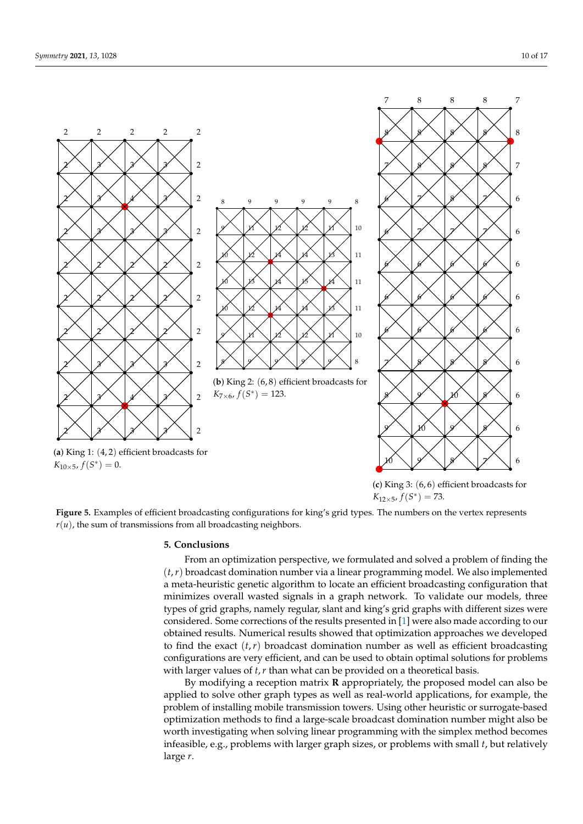<span id="page-9-1"></span>



(**b**) King 2: (6, 8) efficient broadcasts for  $K_{7\times 6}$ ,  $f(S^*) = 123$ .



(**a**) King 1: (4, 2) efficient broadcasts for  $K_{10\times 5}$ ,  $f(S^*)=0$ .

(**c**) King 3: (6, 6) efficient broadcasts for  $K_{12\times 5}$ ,  $f(S^*) = 73$ .

**Figure 5.** Examples of efficient broadcasting configurations for king's grid types. The numbers on the vertex represents  $r(u)$ , the sum of transmissions from all broadcasting neighbors.

#### <span id="page-9-0"></span>**5. Conclusions**

From an optimization perspective, we formulated and solved a problem of finding the (*t*,*r*) broadcast domination number via a linear programming model. We also implemented a meta-heuristic genetic algorithm to locate an efficient broadcasting configuration that minimizes overall wasted signals in a graph network. To validate our models, three types of grid graphs, namely regular, slant and king's grid graphs with different sizes were considered. Some corrections of the results presented in [\[1\]](#page-16-0) were also made according to our obtained results. Numerical results showed that optimization approaches we developed to find the exact  $(t, r)$  broadcast domination number as well as efficient broadcasting configurations are very efficient, and can be used to obtain optimal solutions for problems with larger values of *t*,*r* than what can be provided on a theoretical basis.

By modifying a reception matrix **R** appropriately, the proposed model can also be applied to solve other graph types as well as real-world applications, for example, the problem of installing mobile transmission towers. Using other heuristic or surrogate-based optimization methods to find a large-scale broadcast domination number might also be worth investigating when solving linear programming with the simplex method becomes infeasible, e.g., problems with larger graph sizes, or problems with small *t*, but relatively large *r*.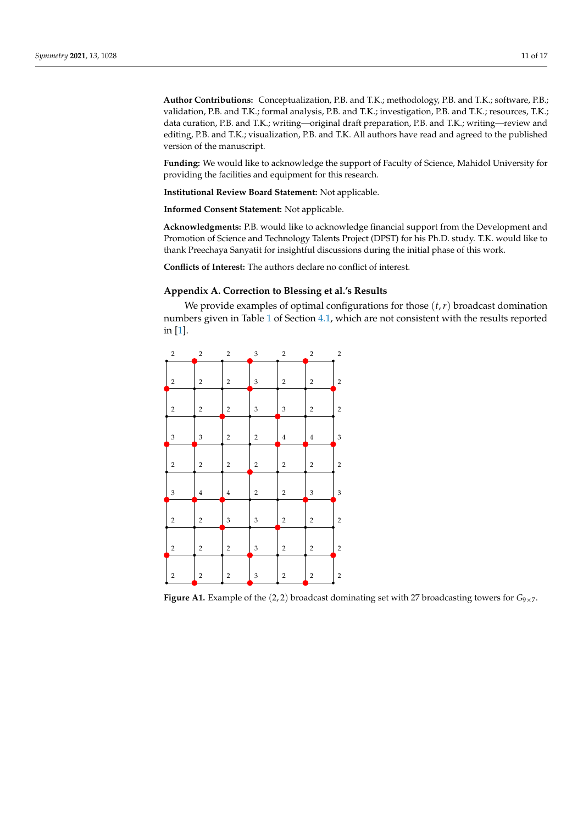**Author Contributions:** Conceptualization, P.B. and T.K.; methodology, P.B. and T.K.; software, P.B.; validation, P.B. and T.K.; formal analysis, P.B. and T.K.; investigation, P.B. and T.K.; resources, T.K.; data curation, P.B. and T.K.; writing—original draft preparation, P.B. and T.K.; writing—review and editing, P.B. and T.K.; visualization, P.B. and T.K. All authors have read and agreed to the published version of the manuscript.

**Funding:** We would like to acknowledge the support of Faculty of Science, Mahidol University for providing the facilities and equipment for this research.

**Institutional Review Board Statement:** Not applicable.

**Informed Consent Statement:** Not applicable.

**Acknowledgments:** P.B. would like to acknowledge financial support from the Development and Promotion of Science and Technology Talents Project (DPST) for his Ph.D. study. T.K. would like to thank Preechaya Sanyatit for insightful discussions during the initial phase of this work.

**Conflicts of Interest:** The authors declare no conflict of interest.

## <span id="page-10-0"></span>**Appendix A. Correction to Blessing et al.'s Results**

We provide examples of optimal configurations for those (*t*,*r*) broadcast domination numbers given in Table [1](#page-4-0) of Section [4.1,](#page-3-2) which are not consistent with the results reported in [\[1\]](#page-16-0).

| $\sqrt{2}$              | $\sqrt{2}$                | $\sqrt{2}$              | $\ensuremath{\mathsf{3}}$ | $\sqrt{2}$                | $\sqrt{2}$     | $\sqrt{2}$                |
|-------------------------|---------------------------|-------------------------|---------------------------|---------------------------|----------------|---------------------------|
| 2                       | $\sqrt{2}$                | $\overline{c}$          | 3                         | $\sqrt{2}$                | $\overline{c}$ | $\overline{c}$            |
| $\sqrt{2}$              | $\,2$                     | $\sqrt{2}$              | 3                         | $\ensuremath{\mathsf{3}}$ | $\sqrt{2}$     | $\overline{\mathbf{c}}$   |
| 3                       | $\ensuremath{\mathsf{3}}$ | $\sqrt{2}$              | $\overline{\mathbf{c}}$   | $\bf{4}$                  | $\,4\,$        | $\ensuremath{\mathsf{3}}$ |
| $\sqrt{2}$              | $\overline{\mathbf{c}}$   | $\overline{c}$          | $\boldsymbol{2}$          | $\mathbf 2$               | $\overline{c}$ | $\sqrt{2}$                |
| 3                       | $\bf{4}$                  | $\bf 4$                 | $\overline{\mathbf{c}}$   | $\overline{c}$            | 3              | 3                         |
| $\overline{\mathbf{c}}$ | $\mathbf 2$               | 3                       | 3                         | $\overline{2}$            | $\overline{c}$ | $\mathbf 2$               |
| $\sqrt{2}$              | $\mathbf 2$               | $\overline{c}$          | 3                         | $\mathbf 2$               | $\overline{c}$ | $\overline{2}$            |
| $\overline{\mathbf{c}}$ | $\mathbf 2$               | $\overline{\mathbf{c}}$ | 3                         | $\overline{c}$            | $\mathbf 2$    | $\sqrt{2}$                |
|                         |                           |                         |                           |                           |                |                           |

**Figure A1.** Example of the (2, 2) broadcast dominating set with 27 broadcasting towers for  $G_{9\times 7}$ .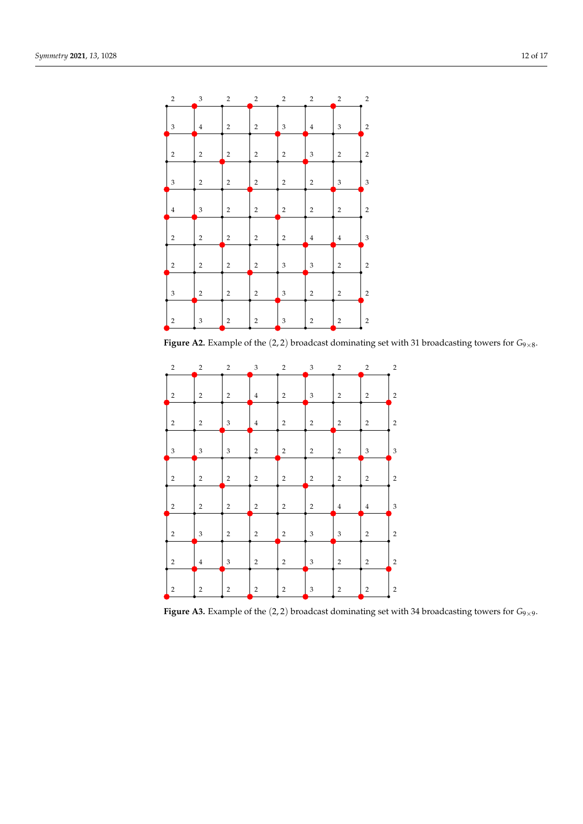| $\overline{c}$            | $\ensuremath{\mathsf{3}}$ | $\sqrt{2}$              | $\sqrt{2}$     | $\sqrt{2}$                | $\overline{\mathbf{c}}$ | $\overline{\mathbf{c}}$   | $\sqrt{2}$                |
|---------------------------|---------------------------|-------------------------|----------------|---------------------------|-------------------------|---------------------------|---------------------------|
| 3                         | $\bf{4}$                  | $\overline{\mathbf{c}}$ | $\overline{2}$ | 3                         | $\overline{4}$          | 3                         | $\overline{2}$            |
| $\sqrt{2}$                | $\overline{2}$            | $\sqrt{2}$              | $\,2$          | $\sqrt{2}$                | $\mathfrak{Z}$          | $\mathbf 2$               | $\sqrt{2}$                |
| $\ensuremath{\mathsf{3}}$ | $\overline{2}$            | $\sqrt{2}$              | $\,2$          | $\sqrt{2}$                | $\overline{c}$          | $\ensuremath{\mathsf{3}}$ | $\ensuremath{\mathsf{3}}$ |
| $\bf{4}$                  | $\ensuremath{\mathsf{3}}$ | $\sqrt{2}$              | $\sqrt{2}$     | $\sqrt{2}$                | $\mathbf 2$             | $\mathbf 2$               | $\sqrt{2}$                |
| $\,2$                     | $\overline{2}$            | $\sqrt{2}$              | $\,2$          | $\sqrt{2}$                | $\overline{\mathbf{4}}$ | $\bf{4}$                  | $\ensuremath{\mathsf{3}}$ |
| $\overline{2}$            | $\overline{2}$            | $\sqrt{2}$              | $\sqrt{2}$     | $\mathfrak{Z}$            | $\mathfrak{Z}$          | $\overline{2}$            | $\overline{2}$            |
| $\ensuremath{\mathsf{3}}$ | $\overline{2}$            | $\mathbf 2$             | $\sqrt{2}$     | $\sqrt{3}$                | $\mathbf 2$             | $\overline{2}$            | $\overline{2}$            |
| $\,2$                     | $\ensuremath{\mathsf{3}}$ | $\sqrt{2}$              | $\,2$          | $\ensuremath{\mathsf{3}}$ | $\overline{c}$          | $\sqrt{2}$                | $\sqrt{2}$                |
|                           |                           |                         |                |                           |                         |                           |                           |

**Figure A2.** Example of the (2, 2) broadcast dominating set with 31 broadcasting towers for  $G_{9\times 8}$ .

| $\overline{2}$            | $\overline{c}$            | 2                         | 3              | $\overline{2}$ | 3                         | $\overline{2}$ | $\overline{2}$            | $\overline{2}$              |
|---------------------------|---------------------------|---------------------------|----------------|----------------|---------------------------|----------------|---------------------------|-----------------------------|
| $\overline{2}$            | $\overline{2}$            | $\sqrt{2}$                | $\overline{4}$ | $\overline{2}$ | $\ensuremath{\mathsf{3}}$ | $\sqrt{2}$     | $\overline{2}$            | $\sqrt{2}$                  |
| $\sqrt{2}$                | $\sqrt{2}$                | $\ensuremath{\mathsf{3}}$ | $\bf{4}$       | $\overline{2}$ | $\sqrt{2}$                | $\sqrt{2}$     | $\sqrt{2}$                | $\sqrt{2}$                  |
| $\ensuremath{\mathsf{3}}$ | $\ensuremath{\mathsf{3}}$ | $\mathfrak{Z}$            | $\overline{2}$ | $\overline{2}$ | $\sqrt{2}$                | $\sqrt{2}$     | $\ensuremath{\mathsf{3}}$ | $\ensuremath{\mathbf{3}}$   |
| $\overline{2}$            | $\sqrt{2}$                | $\overline{2}$            | $\overline{2}$ | $\overline{2}$ | $\sqrt{2}$                | $\overline{2}$ | $\overline{2}$            | $\sqrt{2}$                  |
| $\sqrt{2}$                | $\overline{2}$            | $\overline{2}$            | $\overline{2}$ | $\overline{2}$ | $\overline{2}$            | $\overline{4}$ | $\overline{4}$            | $\ensuremath{\mathfrak{Z}}$ |
| $\overline{2}$            | 3                         | $\overline{2}$            | $\overline{2}$ | $\overline{2}$ | 3                         | $\mathfrak{Z}$ | $\overline{2}$            | $\sqrt{2}$                  |
| $\sqrt{2}$                | $\overline{4}$            | $\mathfrak{Z}$            | $\sqrt{2}$     | $\overline{2}$ | $\mathfrak{Z}$            | $\sqrt{2}$     | $\sqrt{2}$                | $\sqrt{2}$                  |
| $\overline{c}$            | $\overline{\mathbf{c}}$   | $\overline{c}$            | $\overline{2}$ | $\overline{2}$ | 3                         | $\overline{2}$ | $\overline{2}$            | $\sqrt{2}$                  |
|                           |                           |                           |                |                |                           |                |                           |                             |

**Figure A3.** Example of the (2, 2) broadcast dominating set with 34 broadcasting towers for  $G_{9\times9}$ .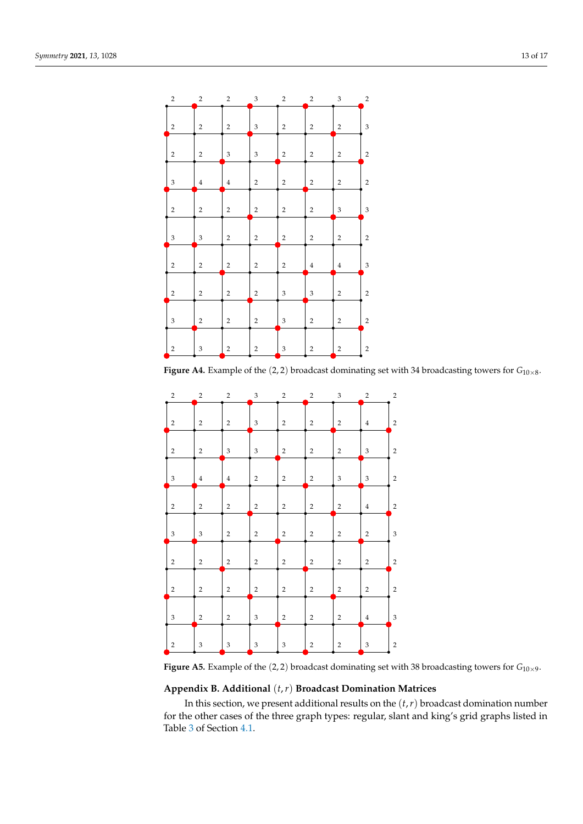| $\,2$                     | $\sqrt{2}$                | $\overline{\mathbf{c}}$ | $\ensuremath{\mathsf{3}}$ | $\sqrt{2}$                | $\sqrt{2}$              | $\ensuremath{\mathsf{3}}$ | $\,2$                   |
|---------------------------|---------------------------|-------------------------|---------------------------|---------------------------|-------------------------|---------------------------|-------------------------|
| $\sqrt{2}$                | $\sqrt{2}$                | $\overline{c}$          | 3                         | $\sqrt{2}$                | $\sqrt{2}$              | $\mathbf 2$               | 3                       |
| $\,2$                     | $\sqrt{2}$                | 3                       | 3                         | $\sqrt{2}$                | $\overline{\mathbf{c}}$ | $\mathbf 2$               | $\sqrt{2}$              |
| $\ensuremath{\mathsf{3}}$ | $\bf{4}$                  | $\bf{4}$                | $\,2$                     | $\sqrt{2}$                | $\overline{c}$          | $\sqrt{2}$                | $\sqrt{2}$              |
| $\sqrt{2}$                | $\sqrt{2}$                | $\overline{c}$          | $\sqrt{2}$                | $\sqrt{2}$                | $\overline{c}$          | $\ensuremath{\mathsf{3}}$ | 3                       |
| $\ensuremath{\mathsf{3}}$ | $\ensuremath{\mathsf{3}}$ | $\sqrt{2}$              | $\,2$                     | $\sqrt{2}$                | $\overline{c}$          | $\sqrt{2}$                | $\sqrt{2}$              |
| $\,2$                     | $\mathbf 2$               | $\overline{c}$          | $\,2$                     | $\sqrt{2}$                | $\overline{\mathbf{4}}$ | $\bf{4}$                  | 3                       |
| $\sqrt{2}$                | $\mathbf 2$               | $\overline{c}$          | $\sqrt{2}$                | $\sqrt{3}$                | 3                       | $\mathbf 2$               | $\overline{c}$          |
| $\ensuremath{\mathsf{3}}$ | $\mathbf 2$               | $\overline{c}$          | $\,2$                     | $\sqrt{3}$                | $\overline{c}$          | $\overline{2}$            | $\overline{c}$          |
| $\,2$                     | $\ensuremath{\mathsf{3}}$ | $\overline{c}$          | $\,2$                     | $\ensuremath{\mathsf{3}}$ | $\overline{c}$          | $\overline{\mathbf{c}}$   | $\overline{\mathbf{c}}$ |
|                           |                           |                         |                           |                           |                         |                           |                         |

**Figure A4.** Example of the  $(2, 2)$  broadcast dominating set with 34 broadcasting towers for  $G_{10\times8}$ .

| $\,2$                     | $\sqrt{2}$                | $\,2$                     | $\ensuremath{\mathsf{3}}$ | $\sqrt{2}$     | $\mathbf 2$    | $\ensuremath{\mathsf{3}}$ | $\sqrt{2}$     | $\sqrt{2}$                |
|---------------------------|---------------------------|---------------------------|---------------------------|----------------|----------------|---------------------------|----------------|---------------------------|
| $\sqrt{2}$                | $\overline{2}$            | $\overline{2}$            | 3                         | $\sqrt{2}$     | $\overline{2}$ | $\mathbf 2$               | $\overline{4}$ | $\sqrt{2}$                |
| $\overline{2}$            | $\overline{2}$            | $\mathfrak{Z}$            | 3                         | $\overline{2}$ | $\overline{2}$ | $\overline{2}$            | $\mathfrak{Z}$ | $\,2$                     |
| 3                         | $\bf{4}$                  | $\,4$                     | $\sqrt{2}$                | $\overline{2}$ | $\sqrt{2}$     | 3                         | $\mathfrak{Z}$ | $\sqrt{2}$                |
| $\sqrt{2}$                | $\overline{2}$            | $\overline{2}$            | $\,2$                     | $\sqrt{2}$     | $\overline{c}$ | $\mathbf 2$               | $\overline{4}$ | $\sqrt{2}$                |
| $\ensuremath{\mathsf{3}}$ | $\ensuremath{\mathsf{3}}$ | $\overline{2}$            | $\sqrt{2}$                | $\sqrt{2}$     | $\overline{2}$ | $\overline{2}$            | $\overline{2}$ | $\ensuremath{\mathsf{3}}$ |
| $\sqrt{2}$                | $\mathbf 2$               | $\sqrt{2}$                | $\,2$                     | $\sqrt{2}$     | $\sqrt{2}$     | $\sqrt{2}$                | $\sqrt{2}$     | $\sqrt{2}$                |
| $\overline{2}$            | $\overline{2}$            | $\overline{2}$            | $\,2$                     | $\overline{2}$ | $\overline{c}$ | $\mathbf 2$               | $\overline{2}$ | $\sqrt{2}$                |
| $\mathfrak{Z}$            | $\sqrt{2}$                | $\overline{2}$            | 3                         | $\sqrt{2}$     | $\overline{2}$ | $\overline{2}$            | $\overline{4}$ | $\ensuremath{\mathsf{3}}$ |
| $\,2$                     | 3                         | $\ensuremath{\mathsf{3}}$ | $\ensuremath{\mathsf{3}}$ | $\,$ 3 $\,$    | $\overline{c}$ | $\,2$                     | $\mathfrak{Z}$ | $\sqrt{2}$                |
|                           |                           |                           |                           |                |                |                           |                |                           |

**Figure A5.** Example of the  $(2, 2)$  broadcast dominating set with 38 broadcasting towers for  $G_{10\times9}$ .

## <span id="page-12-0"></span>**Appendix B. Additional** (*t*,*r*) **Broadcast Domination Matrices**

In this section, we present additional results on the (*t*,*r*) broadcast domination number for the other cases of the three graph types: regular, slant and king's grid graphs listed in Table [3](#page-5-0) of Section [4.1.](#page-3-2)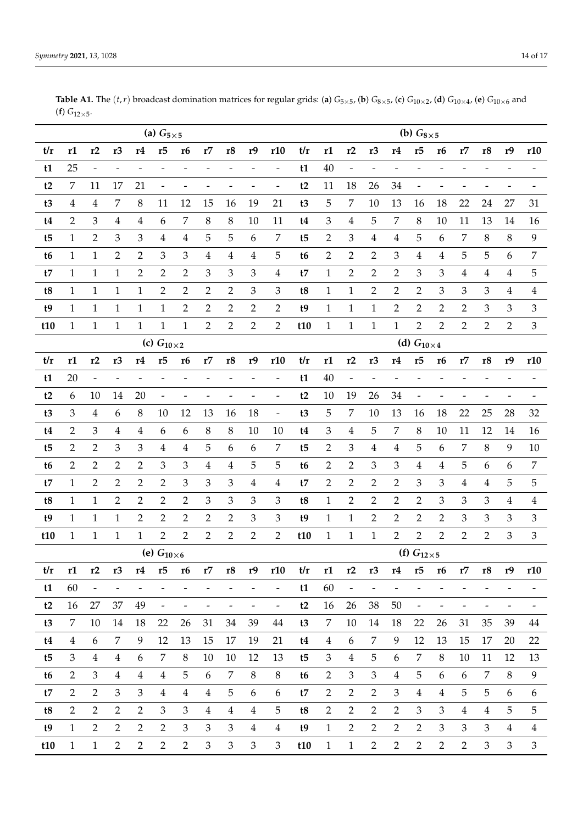|                | (a) $G_{5\times 5}$ |                |                          |                          |                              |                          |                          |                          |                             |                              |                |                     |                          | (b) $G_{8\times 5}$ |                          |                          |                          |                          |                          |                              |                              |  |  |  |
|----------------|---------------------|----------------|--------------------------|--------------------------|------------------------------|--------------------------|--------------------------|--------------------------|-----------------------------|------------------------------|----------------|---------------------|--------------------------|---------------------|--------------------------|--------------------------|--------------------------|--------------------------|--------------------------|------------------------------|------------------------------|--|--|--|
| t/r            | r1                  | r2             | r <sub>3</sub>           | r4                       | r5                           | r <sub>6</sub>           | r7                       | r8                       | r9                          | r10                          | t/r            | r1                  | r2                       | r <sub>3</sub>      | r4                       | r5                       | r6                       | r7                       | r8                       | r9                           | r10                          |  |  |  |
| t1             | 25                  | $\frac{1}{2}$  |                          |                          |                              |                          |                          | $\overline{\phantom{0}}$ |                             | $\overline{a}$               | t1             | 40                  | $\overline{\phantom{0}}$ |                     |                          |                          |                          |                          |                          |                              |                              |  |  |  |
| t2             | $\overline{7}$      | 11             | 17                       | 21                       |                              |                          |                          |                          |                             |                              | t2             | 11                  | 18                       | 26                  | 34                       |                          |                          |                          |                          |                              |                              |  |  |  |
| t3             | 4                   | $\overline{4}$ | 7                        | $8\,$                    | 11                           | 12                       | 15                       | 16                       | 19                          | 21                           | t3             | $\overline{5}$      | $\boldsymbol{7}$         | 10                  | 13                       | 16                       | 18                       | 22                       | 24                       | 27                           | 31                           |  |  |  |
| t4             | $\overline{2}$      | $\mathfrak{Z}$ | $\overline{4}$           | $\overline{4}$           | 6                            | $\overline{7}$           | 8                        | $\, 8$                   | 10                          | 11                           | t4             | $\mathfrak{Z}$      | $\overline{4}$           | 5                   | $\overline{7}$           | $\,8\,$                  | 10                       | 11                       | 13                       | 14                           | 16                           |  |  |  |
| t <sub>5</sub> | 1                   | $\overline{2}$ | 3                        | 3                        | $\overline{4}$               | $\overline{4}$           | 5                        | 5                        | 6                           | $\overline{7}$               | t <sub>5</sub> | $\overline{2}$      | 3                        | 4                   | 4                        | 5                        | 6                        | 7                        | 8                        | $8\,$                        | 9                            |  |  |  |
| t <sub>6</sub> | 1                   | $\mathbf{1}$   | $\overline{2}$           | $\overline{2}$           | $\mathfrak{Z}$               | $\mathfrak 3$            | $\overline{\mathbf{4}}$  | $\overline{\mathbf{4}}$  | $\boldsymbol{4}$            | 5                            | t6             | $\overline{2}$      | $\sqrt{2}$               | $\overline{2}$      | $\mathfrak{Z}$           | $\bf 4$                  | $\overline{4}$           | $\mathbf 5$              | 5                        | 6                            | $\boldsymbol{7}$             |  |  |  |
| t7             | 1                   | $\mathbf{1}$   | $\mathbf{1}$             | $\overline{2}$           | $\overline{2}$               | $\overline{2}$           | 3                        | $\mathfrak{Z}$           | $\mathfrak 3$               | 4                            | t7             | $\mathbf{1}$        | $\overline{2}$           | $\overline{2}$      | $\overline{2}$           | 3                        | 3                        | 4                        | 4                        | 4                            | 5                            |  |  |  |
| t8             | $\mathbf{1}$        | $\mathbf{1}$   | $\mathbf{1}$             | $\mathbf{1}$             | $\overline{2}$               | $\overline{2}$           | $\overline{2}$           | $\overline{2}$           | $\mathfrak{Z}$              | 3                            | t8             | $\mathbf{1}$        | $\mathbf{1}$             | $\overline{2}$      | $\overline{2}$           | $\overline{2}$           | 3                        | $\mathfrak{Z}$           | $\mathfrak{Z}$           | 4                            | $\overline{\mathbf{4}}$      |  |  |  |
| t9             | 1                   | $\mathbf{1}$   | $\mathbf{1}$             | $\mathbf{1}$             | $\mathbf{1}$                 | $\overline{2}$           | $\overline{2}$           | $\overline{2}$           | $\sqrt{2}$                  | $\overline{2}$               | t9             | $\mathbf{1}$        | $\mathbf{1}$             | $\mathbf{1}$        | $\mathbf{2}$             | 2                        | $\overline{2}$           | $\overline{2}$           | 3                        | 3                            | $\mathfrak{Z}$               |  |  |  |
| t10            | $\mathbf{1}$        | $\mathbf{1}$   | $\mathbf{1}$             | $\mathbf{1}$             | $\mathbf{1}$                 | $\mathbf{1}$             | $\overline{2}$           | $\overline{2}$           | $\overline{2}$              | $\overline{2}$               | t10            | $\mathbf{1}$        | $\mathbf{1}$             | $\mathbf{1}$        | $\mathbf{1}$             | $\overline{2}$           | $\overline{2}$           | $\overline{2}$           | $\overline{2}$           | $\overline{2}$               | $\mathfrak{Z}$               |  |  |  |
|                | (c) $G_{10\times2}$ |                |                          |                          |                              |                          |                          |                          |                             |                              |                |                     |                          |                     |                          | (d) $G_{10\times 4}$     |                          |                          |                          |                              |                              |  |  |  |
| t/r            | r1                  | r2             | r <sub>3</sub>           | r4                       | r5                           | r <sub>6</sub>           | r7                       | r8                       | r9                          | r10                          | t/r            | r1                  | r2                       | r <sub>3</sub>      | r4                       | r5                       | r6                       | r7                       | r8                       | r9                           | r10                          |  |  |  |
| t1             | 20                  | $\frac{1}{2}$  | $\overline{\phantom{0}}$ |                          |                              |                          |                          | $\overline{\phantom{a}}$ |                             | $\overline{\phantom{a}}$     | t1             | 40                  | $\overline{\phantom{0}}$ | $\overline{a}$      |                          |                          |                          |                          |                          |                              |                              |  |  |  |
| t2             | 6                   | 10             | 14                       | 20                       | $\overline{a}$               | $\overline{\phantom{0}}$ |                          | $\qquad \qquad -$        | $\overline{a}$              | $\qquad \qquad \blacksquare$ | t2             | 10                  | 19                       | 26                  | 34                       | $\overline{\phantom{a}}$ | $\overline{a}$           | $\overline{a}$           | -                        |                              |                              |  |  |  |
| t3             | 3                   | $\overline{4}$ | 6                        | 8                        | 10                           | 12                       | 13                       | 16                       | 18                          | $\blacksquare$               | t3             | 5                   | 7                        | 10                  | 13                       | 16                       | 18                       | 22                       | 25                       | 28                           | 32                           |  |  |  |
| t4             | $\overline{2}$      | 3              | 4                        | 4                        | 6                            | 6                        | 8                        | 8                        | 10                          | 10                           | t4             | 3                   | $\overline{4}$           | 5                   | $\overline{7}$           | $\,8\,$                  | 10                       | 11                       | 12                       | 14                           | 16                           |  |  |  |
| t <sub>5</sub> | $\overline{2}$      | $\overline{2}$ | 3                        | 3                        | $\bf 4$                      | $\overline{4}$           | 5                        | 6                        | 6                           | 7                            | t <sub>5</sub> | $\overline{2}$      | 3                        | 4                   | 4                        | 5                        | 6                        | 7                        | 8                        | 9                            | 10                           |  |  |  |
| t <sub>6</sub> | 2                   | $\overline{2}$ | $\overline{2}$           | 2                        | 3                            | $\mathfrak{Z}$           | 4                        | 4                        | 5                           | 5                            | t6             | $\overline{2}$      | $\overline{2}$           | 3                   | 3                        | 4                        | $\overline{4}$           | $\mathbf 5$              | 6                        | 6                            | $\boldsymbol{7}$             |  |  |  |
| t7             | 1                   | $\overline{2}$ | $\overline{2}$           | $\overline{2}$           | $\overline{2}$               | 3                        | 3                        | 3                        | $\overline{4}$              | 4                            | t7             | $\overline{2}$      | $\overline{2}$           | $\overline{2}$      | $\overline{2}$           | 3                        | $\mathfrak{Z}$           | $\overline{4}$           | 4                        | 5                            | 5                            |  |  |  |
| t8             | 1                   | $\mathbf{1}$   | $\overline{2}$           | 2                        | $\overline{2}$               | $\overline{2}$           | 3                        | 3                        | $\mathfrak{Z}$              | $\mathfrak{Z}$               | t8             | $\mathbf{1}$        | $\overline{2}$           | 2                   | $\overline{2}$           | $\overline{2}$           | $\mathfrak{Z}$           | $\mathfrak{Z}$           | $\mathfrak{Z}$           | 4                            | $\overline{\mathbf{4}}$      |  |  |  |
| t9             | 1                   | $\mathbf{1}$   | $\mathbf{1}$             | $\overline{2}$           | $\overline{2}$               | $\overline{2}$           | 2                        | $\overline{2}$           | $\mathfrak{Z}$              | 3                            | t9             | $\mathbf{1}$        | $\mathbf{1}$             | $\overline{2}$      | $\overline{2}$           | 2                        | $\overline{2}$           | $\mathfrak{Z}$           | 3                        | 3                            | $\mathfrak{Z}$               |  |  |  |
| t10            | $\mathbf{1}$        | $\mathbf{1}$   | $\mathbf{1}$             | $\mathbf{1}$             | $\overline{2}$               | $\overline{2}$           | 2                        | $\mathbf{2}$             | $\overline{2}$              | $\overline{2}$               | t10            | $\mathbf{1}$        | $\mathbf{1}$             | $\mathbf{1}$        | $\overline{2}$           | $\overline{2}$           | $\overline{2}$           | $\overline{2}$           | 2                        | $\mathfrak{Z}$               | $\mathfrak{Z}$               |  |  |  |
|                |                     |                |                          |                          | (e) $G_{10 \times 6}$        |                          |                          |                          |                             |                              |                | (f) $G_{12\times5}$ |                          |                     |                          |                          |                          |                          |                          |                              |                              |  |  |  |
| t/r            | r1                  | r2             | r <sub>3</sub>           | r4                       | r5                           | r <sub>6</sub>           | r7                       | r8                       | r9                          | r10                          | t/r            | r1                  | r2                       | r <sub>3</sub>      | r4                       | r5                       | r6                       | r7                       | r8                       | r9                           | r10                          |  |  |  |
| t1             | 60                  | $\blacksquare$ | $\overline{\phantom{a}}$ | $\overline{\phantom{a}}$ | $\frac{1}{2}$                | $\overline{\phantom{0}}$ | $\overline{\phantom{a}}$ | $\overline{\phantom{a}}$ | $\overline{\phantom{a}}$    | $\blacksquare$               | t1             | 60                  | $\blacksquare$           | $\blacksquare$      | $\overline{\phantom{a}}$ | $\overline{\phantom{0}}$ | $\overline{\phantom{0}}$ | $\qquad \qquad -$        | $\overline{\phantom{a}}$ | $\overline{\phantom{a}}$     | $\qquad \qquad \blacksquare$ |  |  |  |
| t2             | 16                  | 27             | 37                       | 49                       | $\qquad \qquad \blacksquare$ | $\overline{\phantom{0}}$ | $\overline{\phantom{a}}$ | $\overline{\phantom{a}}$ | $\overline{\phantom{0}}$    | $\blacksquare$               | t2             | 16                  | 26                       | 38                  | 50                       | $\overline{\phantom{0}}$ | -                        | $\overline{\phantom{0}}$ | $\overline{\phantom{a}}$ | $\qquad \qquad \blacksquare$ | $\overline{\phantom{0}}$     |  |  |  |
| t3             | $\overline{7}$      | 10             | 14                       | 18                       | 22                           | 26                       | 31                       | 34                       | 39                          | 44                           | t3             | 7                   | 10                       | 14                  | 18                       | 22                       | 26                       | 31                       | 35                       | 39                           | 44                           |  |  |  |
| t4             | $\overline{4}$      | 6              | 7                        | 9                        | 12                           | 13                       | 15                       | 17                       | 19                          | 21                           | t4             | $\overline{4}$      | 6                        | 7                   | 9                        | 12                       | 13                       | 15                       | 17                       | 20                           | 22                           |  |  |  |
| t5             | 3                   | $\overline{4}$ | $\overline{4}$           | 6                        | 7                            | $\,8\,$                  | 10                       | 10                       | 12                          | 13                           | t5             | $\mathfrak{Z}$      | $\overline{4}$           | 5                   | 6                        | 7                        | 8                        | 10                       | 11                       | 12                           | 13                           |  |  |  |
| t6             | $\overline{2}$      | $\mathfrak{Z}$ | $\overline{4}$           | $\overline{4}$           | $\overline{4}$               | 5                        | 6                        | 7                        | $\,8\,$                     | $\, 8$                       | t6             | $\overline{2}$      | 3                        | $\mathfrak{Z}$      | $\overline{4}$           | 5                        | 6                        | 6                        | 7                        | $8\,$                        | 9                            |  |  |  |
| t7             | $\overline{2}$      | 2              | 3                        | 3                        | $\overline{4}$               | $\overline{4}$           | $\overline{4}$           | 5                        | 6                           | 6                            | t7             | $\overline{2}$      | $\overline{2}$           | 2                   | 3                        | $\overline{4}$           | 4                        | 5                        | 5                        | 6                            | 6                            |  |  |  |
| t8             | $\overline{2}$      | $\overline{2}$ | $\mathbf{2}$             | $\overline{2}$           | $\mathfrak{Z}$               | $\mathfrak{Z}$           | 4                        | $\overline{4}$           | $\overline{4}$              | 5                            | t8             | $\overline{2}$      | $\overline{2}$           | 2                   | $\overline{2}$           | $\mathfrak{Z}$           | 3                        | $\overline{4}$           | 4                        | 5                            | 5                            |  |  |  |
| t9             | $\mathbf{1}$        | $\overline{2}$ | $\mathbf{2}$             | $\overline{2}$           | $\sqrt{2}$                   | $\mathfrak 3$            | $\mathfrak{Z}$           | 3                        | $\overline{4}$              | $\overline{4}$               | t9             | $\mathbf{1}$        | $\overline{2}$           | $\overline{2}$      | $\mathbf{2}$             | $\mathbf{2}$             | $\mathfrak 3$            | 3                        | 3                        | $\overline{4}$               | $\overline{4}$               |  |  |  |
| t10            | $\mathbf{1}$        | $\mathbf{1}$   | $\mathbf{2}$             | $\overline{2}$           | $\overline{2}$               | $\mathbf{2}$             | 3                        | $\mathfrak{Z}$           | $\ensuremath{\mathfrak{Z}}$ | 3                            | t10            | $\mathbf{1}$        | $\mathbf{1}$             | $\mathbf{2}$        | $\mathbf{2}$             | $\sqrt{2}$               | $\overline{2}$           | $\overline{2}$           | 3                        | $\mathfrak{Z}$               | 3                            |  |  |  |

**Table A1.** The  $(t, r)$  broadcast domination matrices for regular grids: (**a**)  $G_{5\times5}$ , (**b**)  $G_{8\times5}$ , (**c**)  $G_{10\times2}$ , (**d**)  $G_{10\times4}$ , (**e**)  $G_{10\times6}$  and (**f**)  $G_{12\times 5}$ .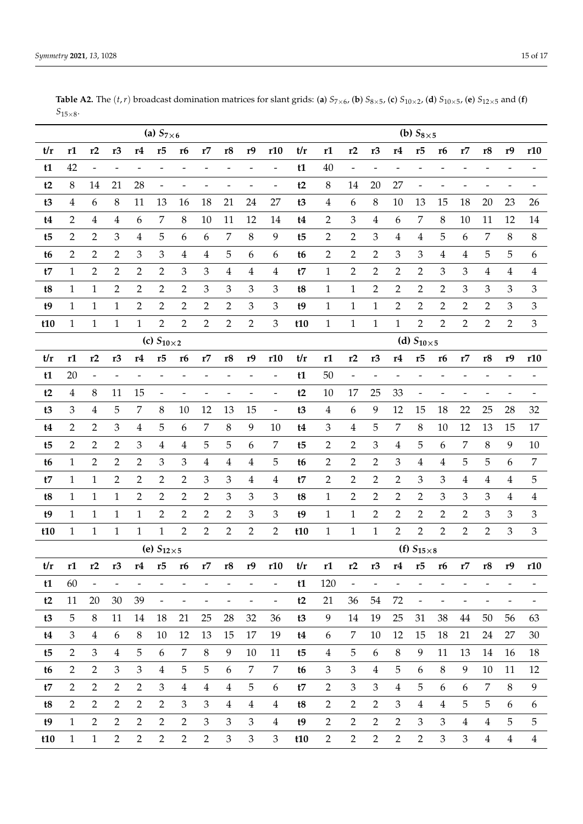|                | (a) $S_{7\times 6}$ |                          |                          |                          |                          |                              |                          |                              |                              |                              |     |                         | (b) $S_{8\times 5}$      |                          |                          |                              |                          |                          |                |                         |                              |  |  |  |
|----------------|---------------------|--------------------------|--------------------------|--------------------------|--------------------------|------------------------------|--------------------------|------------------------------|------------------------------|------------------------------|-----|-------------------------|--------------------------|--------------------------|--------------------------|------------------------------|--------------------------|--------------------------|----------------|-------------------------|------------------------------|--|--|--|
| t/r            | r1                  | r2                       | r <sub>3</sub>           | r4                       | r5                       | r <sub>6</sub>               | r7                       | r8                           | r9                           | r10                          | t/r | r1                      | r2                       | r <sub>3</sub>           | r4                       | r5                           | r6                       | r7                       | r8             | r9                      | r10                          |  |  |  |
| t1             | 42                  | $\overline{\phantom{0}}$ |                          |                          |                          |                              |                          |                              |                              | $\overline{\phantom{0}}$     | t1  | 40                      | $\overline{\phantom{0}}$ |                          |                          |                              |                          |                          |                |                         |                              |  |  |  |
| t2             | $\,8\,$             | 14                       | 21                       | 28                       | $\frac{1}{2}$            |                              |                          | $\overline{\phantom{0}}$     |                              | $\overline{\phantom{0}}$     | t2  | $8\,$                   | 14                       | 20                       | 27                       | $\frac{1}{2}$                |                          |                          |                |                         |                              |  |  |  |
| t3             | 4                   | 6                        | $\,8\,$                  | 11                       | 13                       | 16                           | 18                       | 21                           | 24                           | 27                           | t3  | $\overline{\mathbf{4}}$ | 6                        | $\,8\,$                  | 10                       | 13                           | 15                       | 18                       | 20             | 23                      | 26                           |  |  |  |
| t4             | 2                   | $\overline{\mathbf{4}}$  | $\overline{\mathbf{4}}$  | 6                        | 7                        | $\,8\,$                      | 10                       | 11                           | 12                           | 14                           | t4  | $\overline{2}$          | 3                        | $\overline{\mathbf{4}}$  | 6                        | 7                            | 8                        | 10                       | 11             | 12                      | 14                           |  |  |  |
| t <sub>5</sub> | 2                   | $\overline{2}$           | 3                        | 4                        | 5                        | 6                            | 6                        | 7                            | $8\,$                        | 9                            | t5  | $\overline{2}$          | $\overline{2}$           | 3                        | 4                        | 4                            | 5                        | 6                        | 7              | $\,8\,$                 | $8\,$                        |  |  |  |
| t <sub>6</sub> | 2                   | 2                        | 2                        | 3                        | 3                        | 4                            | 4                        | 5                            | 6                            | 6                            | t6  | $\overline{2}$          | $\overline{2}$           | 2                        | 3                        | 3                            | 4                        | $\overline{\mathbf{4}}$  | 5              | 5                       | 6                            |  |  |  |
| t7             | 1                   | $\overline{2}$           | $\overline{2}$           | 2                        | $\overline{2}$           | 3                            | 3                        | $\overline{4}$               | $\overline{4}$               | $\overline{4}$               | t7  | $\mathbf{1}$            | $\overline{2}$           | $\overline{2}$           | $\overline{2}$           | $\overline{2}$               | 3                        | 3                        | $\overline{4}$ | $\overline{\mathbf{4}}$ | $\overline{4}$               |  |  |  |
| t8             | 1                   | $\mathbf{1}$             | $\overline{2}$           | 2                        | 2                        | $\overline{2}$               | 3                        | 3                            | 3                            | 3                            | t8  | $\mathbf{1}$            | $\mathbf{1}$             | $\overline{2}$           | 2                        | 2                            | $\overline{2}$           | 3                        | 3              | 3                       | 3                            |  |  |  |
| t9             | $\mathbf{1}$        | $\mathbf{1}$             | $\mathbf{1}$             | $\overline{2}$           | $\overline{2}$           | $\overline{2}$               | $\overline{2}$           | $\overline{2}$               | 3                            | 3                            | t9  | $\mathbf{1}$            | $\mathbf{1}$             | $\mathbf{1}$             | $\overline{2}$           | $\overline{2}$               | $\overline{2}$           | $\overline{2}$           | $\overline{2}$ | 3                       | 3                            |  |  |  |
| t10            | $\mathbf{1}$        | $\mathbf{1}$             | $\mathbf{1}$             | $\mathbf{1}$             | $\overline{2}$           | $\overline{2}$               | $\overline{2}$           | $\overline{2}$               | $\overline{2}$               | 3                            | t10 | $\mathbf{1}$            | $\mathbf{1}$             | $\mathbf{1}$             | $\mathbf{1}$             | $\overline{2}$               | $\overline{2}$           | $\overline{2}$           | $\overline{2}$ | $\overline{2}$          | 3                            |  |  |  |
|                | (c) $S_{10\times2}$ |                          |                          |                          |                          |                              |                          |                              |                              |                              |     |                         |                          | (d) $S_{10\times 5}$     |                          |                              |                          |                          |                |                         |                              |  |  |  |
| t/r            | r1                  | r2                       | r <sub>3</sub>           | r4                       | r5                       | <b>r6</b>                    | r7                       | r8                           | r9                           | r10                          | t/r | r1                      | r2                       | r3                       | r4                       | r5                           | r6                       | r7                       | r8             | r9                      | r10                          |  |  |  |
| t1             | 20                  |                          |                          |                          |                          |                              |                          |                              |                              |                              | t1  | 50                      | $\overline{a}$           |                          |                          |                              |                          |                          |                |                         |                              |  |  |  |
| t2             | 4                   | $\,8\,$                  | 11                       | 15                       |                          |                              |                          |                              |                              |                              | t2  | 10                      | 17                       | 25                       | 33                       |                              |                          |                          |                |                         |                              |  |  |  |
| t3             | 3                   | $\overline{\mathbf{4}}$  | 5                        | 7                        | $\,8\,$                  | 10                           | 12                       | 13                           | 15                           | $\overline{\phantom{0}}$     | t3  | $\overline{4}$          | $\boldsymbol{6}$         | 9                        | 12                       | 15                           | 18                       | 22                       | 25             | 28                      | 32                           |  |  |  |
| t4             | $\overline{2}$      | $\overline{2}$           | 3                        | $\overline{\mathbf{4}}$  | 5                        | 6                            | 7                        | 8                            | 9                            | 10                           | t4  | $\mathfrak{Z}$          | $\overline{4}$           | $\overline{5}$           | 7                        | $\,8$                        | 10                       | 12                       | 13             | 15                      | 17                           |  |  |  |
| t5             | $\overline{2}$      | $\overline{2}$           | $\overline{2}$           | 3                        | $\overline{4}$           | $\overline{4}$               | 5                        | 5                            | 6                            | 7                            | t5  | $\overline{2}$          | $\overline{2}$           | 3                        | 4                        | 5                            | 6                        | 7                        | $\, 8$         | 9                       | $10\,$                       |  |  |  |
| t <sub>6</sub> | $\mathbf{1}$        | $\overline{2}$           | $\overline{2}$           | $\overline{2}$           | 3                        | 3                            | $\overline{\mathbf{4}}$  | $\overline{\mathbf{4}}$      | 4                            | 5                            | t6  | $\overline{2}$          | $\overline{2}$           | $\overline{2}$           | 3                        | 4                            | $\overline{\mathbf{4}}$  | 5                        | 5              | 6                       | $\overline{7}$               |  |  |  |
| t7             | 1                   | $\mathbf{1}$             | $\overline{2}$           | 2                        | $\overline{2}$           | $\overline{2}$               | 3                        | 3                            | $\overline{4}$               | $\overline{4}$               | t7  | $\overline{2}$          | $\overline{2}$           | $\overline{2}$           | 2                        | 3                            | 3                        | $\overline{4}$           | $\overline{4}$ | 4                       | 5                            |  |  |  |
| t8             | 1                   | $\mathbf{1}$             | $\mathbf{1}$             | $\overline{2}$           | $\overline{2}$           | $\overline{2}$               | $\overline{2}$           | 3                            | 3                            | 3                            | t8  | $\mathbf{1}$            | $\overline{2}$           | $\overline{2}$           | 2                        | 2                            | 3                        | 3                        | 3              | 4                       | $\overline{4}$               |  |  |  |
| t9             | 1                   | $\mathbf{1}$             | $\mathbf{1}$             | 1                        | $\overline{2}$           | $\overline{2}$               | $\overline{2}$           | $\overline{2}$               | 3                            | 3                            | t9  | $\mathbf{1}$            | $\mathbf{1}$             | $\overline{2}$           | 2                        | $\overline{2}$               | $\overline{2}$           | $\overline{2}$           | $\mathfrak{Z}$ | 3                       | 3                            |  |  |  |
| t10            | $\mathbf{1}$        | $1\,$                    | $\mathbf{1}$             | $\mathbf{1}$             | $\mathbf{1}$             | 2                            | $\overline{2}$           | $\overline{2}$               | $\overline{2}$               | $\overline{2}$               | t10 | $\mathbf{1}$            | $\mathbf{1}$             | $\mathbf{1}$             | $\overline{2}$           | 2                            | $\overline{2}$           | $\overline{2}$           | $\overline{2}$ | $\mathfrak{Z}$          | $\mathfrak{Z}$               |  |  |  |
|                |                     |                          |                          |                          | (e) $S_{12\times 5}$     |                              |                          |                              |                              |                              |     | (f) $S_{15\times8}$     |                          |                          |                          |                              |                          |                          |                |                         |                              |  |  |  |
| t/r            | r1                  | r2                       | r <sub>3</sub>           | r4                       | r5                       | r6                           | r7                       | r8                           | r9                           | r10                          | t/r | r1                      | r2                       | r <sub>3</sub>           | r4                       | r5                           | r6                       | r7                       | r8             | r9                      | r10                          |  |  |  |
| t1             | 60                  | $\overline{\phantom{a}}$ | $\overline{\phantom{0}}$ | $\overline{\phantom{a}}$ | $\overline{\phantom{a}}$ | $\overline{\phantom{0}}$     | $\qquad \qquad -$        | $\qquad \qquad \blacksquare$ | $\overline{\phantom{0}}$     | $\qquad \qquad \blacksquare$ | t1  | 120                     | $\overline{\phantom{a}}$ | $\overline{\phantom{a}}$ | $\overline{\phantom{a}}$ | $\qquad \qquad \blacksquare$ | $\overline{\phantom{0}}$ | $\overline{\phantom{a}}$ |                |                         |                              |  |  |  |
| t2             | 11                  | 20                       | 30                       | 39                       | $\blacksquare$           | $\qquad \qquad \blacksquare$ | $\overline{\phantom{0}}$ | $\qquad \qquad \blacksquare$ | $\qquad \qquad \blacksquare$ | $\qquad \qquad \blacksquare$ | t2  | 21                      | 36                       | 54                       | 72                       | $\blacksquare$               | $\overline{\phantom{0}}$ | $\overline{\phantom{a}}$ | -              | -                       | $\qquad \qquad \blacksquare$ |  |  |  |
| t3             | 5                   | $\, 8$                   | 11                       | 14                       | 18                       | 21                           | 25                       | 28                           | 32                           | 36                           | t3  | 9                       | 14                       | 19                       | 25                       | 31                           | 38                       | 44                       | 50             | 56                      | 63                           |  |  |  |
| t4             | 3                   | $\overline{4}$           | 6                        | 8                        | 10                       | 12                           | 13                       | 15                           | 17                           | 19                           | t4  | 6                       | 7                        | $10\,$                   | 12                       | 15                           | 18                       | 21                       | 24             | 27                      | 30                           |  |  |  |
| t5             | $\mathbf{2}$        | $\mathfrak{Z}$           | $\overline{4}$           | 5                        | 6                        | 7                            | $\,8\,$                  | 9                            | 10                           | 11                           | t5  | $\overline{4}$          | $\overline{5}$           | 6                        | $\, 8$                   | 9                            | 11                       | 13                       | 14             | 16                      | 18                           |  |  |  |
| t6             | $\overline{2}$      | $\overline{2}$           | $\mathfrak{Z}$           | $\mathfrak{Z}$           | $\overline{4}$           | 5                            | 5                        | 6                            | 7                            | 7                            | t6  | 3                       | $\mathfrak{Z}$           | $\overline{4}$           | 5                        | 6                            | 8                        | 9                        | 10             | 11                      | 12                           |  |  |  |
| t7             | $\overline{2}$      | $\overline{2}$           | $\overline{2}$           | $\overline{2}$           | $\mathfrak{Z}$           | $\overline{4}$               | $\overline{4}$           | $\overline{4}$               | 5                            | 6                            | t7  | $\overline{2}$          | $\mathfrak{Z}$           | $\mathfrak{Z}$           | $\overline{4}$           | 5                            | 6                        | 6                        | 7              | 8                       | 9                            |  |  |  |
| t8             | $\overline{2}$      | $\overline{2}$           | $\overline{2}$           | $\overline{2}$           | $\overline{2}$           | 3                            | 3                        | $\overline{4}$               | $\overline{4}$               | $\overline{4}$               | t8  | 2                       | 2                        | $\overline{2}$           | 3                        | $\overline{4}$               | 4                        | 5                        | 5              | 6                       | 6                            |  |  |  |
| t9             | $\mathbf{1}$        | $\overline{2}$           | $\overline{2}$           | $\mathbf{2}$             | $\mathbf{2}$             | $\overline{2}$               | $\mathfrak{Z}$           | $\mathfrak{Z}$               | 3                            | $\overline{4}$               | t9  | $\overline{2}$          | $\sqrt{2}$               | $\overline{2}$           | $\overline{2}$           | 3                            | 3                        | $\overline{4}$           | $\overline{4}$ | 5                       | 5                            |  |  |  |
| t10            | $\mathbf{1}$        | $\mathbf{1}$             | $\overline{2}$           | $\overline{2}$           | 2                        | $\overline{2}$               | $\overline{2}$           | 3                            | $\mathfrak{Z}$               | 3                            | t10 | $\overline{2}$          | $\overline{2}$           | $\overline{2}$           | $\overline{2}$           | $\overline{2}$               | 3                        | $\mathfrak{Z}$           | $\overline{4}$ | $\overline{4}$          | $\overline{4}$               |  |  |  |

**Table A2.** The  $(t,r)$  broadcast domination matrices for slant grids: (a)  $S_{7\times 6}$ , (b)  $S_{8\times 5}$ , (c)  $S_{10\times 2}$ , (d)  $S_{10\times 5}$ , (e)  $S_{12\times 5}$  and (f)  $S_{15\times8}$ .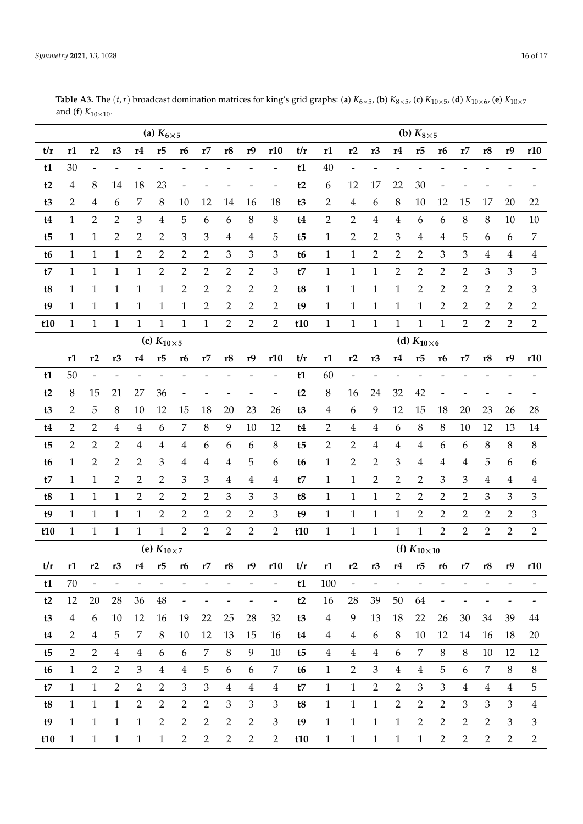*Symmetry* **2021**, 13, 1028 16 of 17

|                | (a) $K_{6\times 5}$     |                          |                          |                |                     |                              |                          |                         |                          |                              |                |                       |                          | (b) $K_{8\times 5}$ |                          |                     |                          |                          |                          |                          |                              |  |  |  |
|----------------|-------------------------|--------------------------|--------------------------|----------------|---------------------|------------------------------|--------------------------|-------------------------|--------------------------|------------------------------|----------------|-----------------------|--------------------------|---------------------|--------------------------|---------------------|--------------------------|--------------------------|--------------------------|--------------------------|------------------------------|--|--|--|
| t/r            | r1                      | r2                       | r <sub>3</sub>           | r4             | r5                  | r6                           | r7                       | r8                      | r9                       | r10                          | t/r            | r1                    | r2                       | r <sub>3</sub>      | r4                       | r5                  | r <sub>6</sub>           | r7                       | r8                       | r9                       | r10                          |  |  |  |
| t1             | 30                      | $\overline{\phantom{a}}$ | $\overline{\phantom{0}}$ |                |                     |                              |                          | -                       |                          | $\overline{a}$               | t1             | 40                    | $\overline{a}$           | $\overline{a}$      |                          | $\overline{a}$      |                          |                          |                          |                          |                              |  |  |  |
| t2             | $\overline{\mathbf{4}}$ | $\,8\,$                  | 14                       | 18             | 23                  |                              |                          |                         |                          | $\overline{a}$               | t2             | $\boldsymbol{6}$      | 12                       | 17                  | 22                       | 30                  | $\overline{\phantom{0}}$ |                          |                          |                          |                              |  |  |  |
| t3             | 2                       | $\overline{\mathbf{4}}$  | 6                        | 7              | 8                   | 10                           | 12                       | 14                      | 16                       | 18                           | t3             | $\overline{2}$        | $\overline{\mathbf{4}}$  | $\boldsymbol{6}$    | 8                        | 10                  | 12                       | 15                       | 17                       | 20                       | 22                           |  |  |  |
| t4             | 1                       | $\overline{2}$           | $\overline{2}$           | 3              | $\boldsymbol{4}$    | 5                            | 6                        | 6                       | $\,8\,$                  | 8                            | t4             | $\overline{2}$        | $\overline{2}$           | $\overline{4}$      | 4                        | 6                   | 6                        | 8                        | 8                        | 10                       | 10                           |  |  |  |
| t5             | 1                       | $\mathbf{1}$             | 2                        | 2              | $\overline{2}$      | 3                            | 3                        | $\overline{\mathbf{4}}$ | $\overline{\mathbf{4}}$  | 5                            | t <sub>5</sub> | $\mathbf{1}$          | $\overline{2}$           | $\overline{2}$      | 3                        | 4                   | 4                        | 5                        | 6                        | 6                        | 7                            |  |  |  |
| t <sub>6</sub> | 1                       | $\mathbf{1}$             | $\mathbf{1}$             | $\overline{2}$ | $\overline{2}$      | $\overline{2}$               | $\overline{2}$           | 3                       | 3                        | 3                            | t6             | $\mathbf{1}$          | $\mathbf{1}$             | $\overline{2}$      | 2                        | 2                   | 3                        | 3                        | $\overline{4}$           | $\overline{4}$           | $\overline{4}$               |  |  |  |
| t7             | $\mathbf{1}$            | $\mathbf{1}$             | $\mathbf{1}$             | $\mathbf{1}$   | $\overline{2}$      | 2                            | $\overline{2}$           | 2                       | 2                        | 3                            | t7             | $\mathbf{1}$          | $\mathbf{1}$             | $\mathbf{1}$        | 2                        | 2                   | 2                        | $\overline{2}$           | 3                        | 3                        | $\mathfrak{Z}$               |  |  |  |
| t8             | 1                       | $\mathbf{1}$             | $\mathbf{1}$             | $\mathbf{1}$   | $\mathbf{1}$        | $\sqrt{2}$                   | $\overline{2}$           | $\overline{2}$          | $\overline{2}$           | $\overline{2}$               | t8             | $\mathbf{1}$          | $\mathbf{1}$             | $\mathbf{1}$        | $\mathbf{1}$             | $\overline{2}$      | $\overline{2}$           | $\overline{2}$           | $\overline{2}$           | $\overline{2}$           | $\mathfrak{Z}$               |  |  |  |
| t9             | 1                       | $\mathbf{1}$             | $\mathbf{1}$             | $\mathbf{1}$   | $\mathbf{1}$        | $\mathbf{1}$                 | $\overline{2}$           | $\overline{2}$          | $\overline{2}$           | $\overline{2}$               | t9             | $\mathbf{1}$          | $\mathbf{1}$             | $\mathbf{1}$        | $\mathbf{1}$             | $\mathbf{1}$        | 2                        | $\overline{2}$           | $\overline{2}$           | $\overline{2}$           | $\mathbf{2}$                 |  |  |  |
| t10            | $\mathbf{1}$            | $\mathbf{1}$             | $\mathbf{1}$             | $\mathbf{1}$   | $\mathbf{1}$        | $\mathbf{1}$                 | $\mathbf{1}$             | $\overline{2}$          | $\overline{2}$           | $\overline{2}$               | t10            | $\mathbf{1}$          | $\mathbf{1}$             | $\mathbf{1}$        | $\mathbf{1}$             | $\mathbf{1}$        | $\mathbf{1}$             | $\overline{2}$           | 2                        | $\overline{2}$           | $\overline{2}$               |  |  |  |
|                | (c) $K_{10\times 5}$    |                          |                          |                |                     |                              |                          |                         |                          |                              |                |                       |                          |                     |                          | (d) $K_{10\times6}$ |                          |                          |                          |                          |                              |  |  |  |
|                | r1                      | r2                       | r3                       | r4             | r5                  | <b>r6</b>                    | r7                       | r8                      | r9                       | r10                          | t/r            | r1                    | r2                       | r3                  | r4                       | r5                  | <b>r6</b>                | r7                       | r <sup>8</sup>           | r9                       | r10                          |  |  |  |
| t1             | 50                      | $\overline{\phantom{a}}$ |                          |                |                     |                              |                          |                         |                          | $\overline{a}$               | t1             | 60                    | $\overline{\phantom{0}}$ | $\overline{a}$      |                          | $\overline{a}$      |                          |                          |                          |                          |                              |  |  |  |
| t2             | 8                       | 15                       | 21                       | 27             | 36                  |                              |                          |                         |                          | $\overline{a}$               | t2             | $\,8\,$               | 16                       | 24                  | 32                       | 42                  | $\overline{a}$           |                          |                          |                          |                              |  |  |  |
| t3             | $\overline{2}$          | 5                        | 8                        | 10             | 12                  | 15                           | 18                       | 20                      | 23                       | 26                           | t3             | $\overline{4}$        | 6                        | 9                   | 12                       | 15                  | 18                       | 20                       | 23                       | 26                       | 28                           |  |  |  |
| t4             | 2                       | $\overline{2}$           | $\overline{4}$           | 4              | 6                   | 7                            | $8\,$                    | 9                       | 10                       | 12                           | t4             | $\overline{2}$        | $\overline{\mathbf{4}}$  | $\overline{4}$      | 6                        | $\,8\,$             | 8                        | 10                       | 12                       | 13                       | 14                           |  |  |  |
| t5             | 2                       | $\overline{2}$           | $\overline{2}$           | 4              | $\overline{4}$      | $\overline{\mathbf{4}}$      | 6                        | 6                       | 6                        | $\,8\,$                      | t <sub>5</sub> | $\overline{2}$        | $\overline{2}$           | 4                   | 4                        | $\overline{4}$      | 6                        | 6                        | 8                        | 8                        | $8\,$                        |  |  |  |
| t <sub>6</sub> | $\mathbf{1}$            | $\overline{2}$           | $\overline{2}$           | $\overline{2}$ | $\mathfrak{Z}$      | $\overline{4}$               | $\overline{\mathbf{4}}$  | $\overline{4}$          | 5                        | 6                            | t6             | $\mathbf{1}$          | $\overline{2}$           | $\overline{2}$      | 3                        | 4                   | 4                        | $\overline{\mathbf{4}}$  | 5                        | 6                        | 6                            |  |  |  |
| t7             | 1                       | $\mathbf{1}$             | $\overline{2}$           | $\overline{2}$ | $\overline{2}$      | $\mathfrak{Z}$               | 3                        | $\overline{\mathbf{4}}$ | $\overline{\mathbf{4}}$  | $\overline{4}$               | t7             | $\mathbf{1}$          | $\mathbf{1}$             | $\overline{2}$      | 2                        | $\overline{2}$      | 3                        | $\mathfrak{Z}$           | $\boldsymbol{4}$         | 4                        | $\overline{4}$               |  |  |  |
| t8             | 1                       | $\mathbf{1}$             | $\mathbf{1}$             | 2              | $\overline{2}$      | $\overline{2}$               | $\overline{2}$           | 3                       | 3                        | 3                            | t8             | $\mathbf{1}$          | $\mathbf{1}$             | $\mathbf{1}$        | 2                        | $\overline{2}$      | $\overline{2}$           | $\overline{2}$           | 3                        | 3                        | $\mathfrak{Z}$               |  |  |  |
| t9             | 1                       | $\mathbf{1}$             | $\mathbf{1}$             | $\mathbf{1}$   | $\overline{2}$      | $\overline{2}$               | $\overline{2}$           | $\overline{2}$          | $\overline{2}$           | 3                            | t9             | $\mathbf{1}$          | $\mathbf{1}$             | $\mathbf{1}$        | $\mathbf{1}$             | $\overline{2}$      | $\overline{2}$           | $\overline{2}$           | $\overline{2}$           | $\overline{2}$           | $\mathfrak{Z}$               |  |  |  |
| t10            | $\mathbf{1}$            | $\,1$                    | $\mathbf{1}$             | $\mathbf{1}$   | $\mathbf{1}$        | $\overline{2}$               | $\overline{2}$           | $\overline{2}$          | $\overline{2}$           | $\overline{2}$               | t10            | $1\,$                 | $\mathbf{1}$             | $\mathbf{1}$        | $\mathbf{1}$             | $\mathbf{1}$        | $\overline{2}$           | $\overline{2}$           | $\overline{2}$           | $\overline{2}$           | $\overline{2}$               |  |  |  |
|                |                         |                          |                          |                | (e) $K_{10\times7}$ |                              |                          |                         |                          |                              |                | (f) $K_{10\times 10}$ |                          |                     |                          |                     |                          |                          |                          |                          |                              |  |  |  |
| t/r            | r1                      | r2                       | r <sub>3</sub>           | r4             | r5                  | <b>r6</b>                    | r7                       | r8                      | r9                       | r10                          | t/r            | r1                    | r2                       | r3                  | $\mathbf{r4}$            | r5                  | <b>r6</b>                | r7                       | r8                       | r9                       | r10                          |  |  |  |
| t1             | 70                      | $\blacksquare$           | $\overline{\phantom{a}}$ | $\frac{1}{2}$  | $\blacksquare$      | $\qquad \qquad \blacksquare$ | $\overline{\phantom{0}}$ |                         | $\overline{\phantom{0}}$ | $\blacksquare$               | t1             | 100                   | $\overline{\phantom{a}}$ | $\blacksquare$      | $\overline{\phantom{a}}$ | $\blacksquare$      | $\overline{\phantom{0}}$ | $\overline{a}$           |                          |                          |                              |  |  |  |
| t2             | 12                      | 20                       | 28                       | 36             | 48                  | $\overline{\phantom{0}}$     | ÷,                       | $\blacksquare$          | $\overline{\phantom{0}}$ | $\qquad \qquad \blacksquare$ | t2             | 16                    | 28                       | 39                  | 50                       | 64                  | $\blacksquare$           | $\overline{\phantom{a}}$ | $\overline{\phantom{a}}$ | $\overline{\phantom{a}}$ | $\qquad \qquad \blacksquare$ |  |  |  |
| t3             | $\overline{4}$          | 6                        | $10\,$                   | 12             | 16                  | 19                           | 22                       | 25                      | 28                       | 32                           | t3             | $\overline{4}$        | 9                        | 13                  | 18                       | 22                  | 26                       | 30                       | 34                       | 39                       | $44\,$                       |  |  |  |
| t4             | 2                       | $\overline{4}$           | 5                        | 7              | 8                   | 10                           | 12                       | 13                      | 15                       | 16                           | t4             | $\overline{4}$        | $\overline{4}$           | 6                   | 8                        | 10                  | 12                       | 14                       | 16                       | 18                       | 20                           |  |  |  |
| t5             | 2                       | $\overline{2}$           | $\overline{4}$           | $\overline{4}$ | 6                   | $\boldsymbol{6}$             | 7                        | $8\,$                   | 9                        | 10                           | t5             | $\overline{4}$        | $\overline{4}$           | $\overline{4}$      | $\boldsymbol{6}$         | 7                   | $\,8\,$                  | 8                        | 10                       | 12                       | 12                           |  |  |  |
| t6             | 1                       | $\overline{2}$           | $\overline{2}$           | 3              | $\overline{4}$      | $\overline{4}$               | 5                        | 6                       | 6                        | 7                            | t <sub>6</sub> | $\mathbf{1}$          | $\overline{2}$           | $\mathfrak{Z}$      | $\overline{4}$           | $\overline{4}$      | 5                        | 6                        | 7                        | $\,8$                    | $\, 8$                       |  |  |  |
| t7             | $\mathbf{1}$            | $\mathbf{1}$             | $\overline{2}$           | $\overline{2}$ | $\mathbf{2}$        | $\mathfrak{Z}$               | 3                        | $\overline{4}$          | $\overline{4}$           | $\overline{4}$               | t7             | $\mathbf{1}$          | $\mathbf{1}$             | $\mathbf{2}$        | $\overline{2}$           | $\mathfrak{Z}$      | $\mathfrak 3$            | $\overline{4}$           | $\overline{4}$           | $\overline{4}$           | $\overline{5}$               |  |  |  |
| t8             | 1                       | $\mathbf{1}$             | $\mathbf{1}$             | $\overline{2}$ | $\overline{2}$      | $\overline{2}$               | $\overline{2}$           | 3                       | 3                        | 3                            | t8             | $\mathbf{1}$          | $\mathbf{1}$             | $\mathbf{1}$        | $\overline{2}$           | 2                   | $\overline{2}$           | $\mathfrak{Z}$           | 3                        | 3                        | $\overline{4}$               |  |  |  |
| t9             | $\mathbf{1}$            | $\mathbf{1}$             | $\mathbf{1}$             | $\mathbf{1}$   | $\mathbf{2}$        | $\mathbf{2}$                 | $\mathbf{2}$             | $\overline{2}$          | $\mathbf{2}$             | $\mathfrak{Z}$               | t9             | $\mathbf{1}$          | $\mathbf{1}$             | $\mathbf{1}$        | $\mathbf{1}$             | $\mathbf{2}$        | $\overline{2}$           | $\sqrt{2}$               | $\overline{2}$           | 3                        | $\mathfrak{Z}$               |  |  |  |
| t10            | $\mathbf{1}$            | $\mathbf{1}$             | $\mathbf{1}$             | $\mathbf{1}$   | $\mathbf{1}$        | $\overline{2}$               | $\overline{2}$           | $\overline{2}$          | $\overline{2}$           | $\overline{2}$               | t10            | $\mathbf{1}$          | $\mathbf{1}$             | $\mathbf{1}$        | $\mathbf{1}$             | $\mathbf{1}$        | 2                        | 2                        | $\overline{2}$           | $\overline{2}$           | $\overline{2}$               |  |  |  |

**Table A3.** The  $(t, r)$  broadcast domination matrices for king's grid graphs: (**a**)  $K_{6\times5}$ , (**b**)  $K_{8\times5}$ , (**c**)  $K_{10\times5}$ , (**d**)  $K_{10\times6}$ , (**e**)  $K_{10\times7}$ and (**f**)  $K_{10 \times 10}$ .